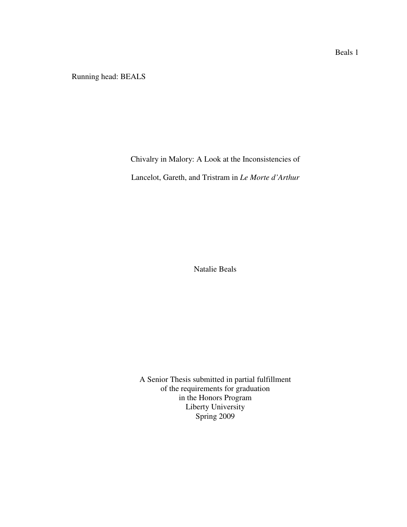Running head: BEALS

Chivalry in Malory: A Look at the Inconsistencies of

Lancelot, Gareth, and Tristram in *Le Morte d'Arthur*

Natalie Beals

A Senior Thesis submitted in partial fulfillment of the requirements for graduation in the Honors Program Liberty University Spring 2009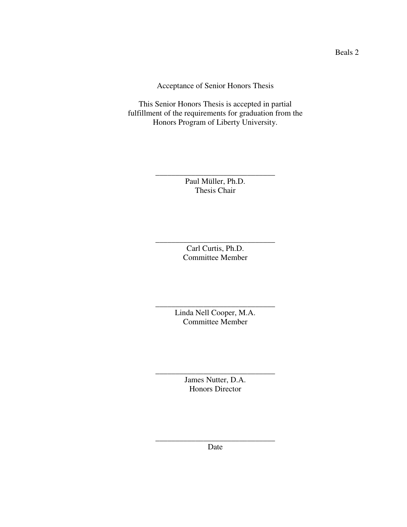Acceptance of Senior Honors Thesis

This Senior Honors Thesis is accepted in partial fulfillment of the requirements for graduation from the Honors Program of Liberty University.

> Paul Müller, Ph.D. Thesis Chair

\_\_\_\_\_\_\_\_\_\_\_\_\_\_\_\_\_\_\_\_\_\_\_\_\_\_\_\_\_\_

Carl Curtis, Ph.D. Committee Member

\_\_\_\_\_\_\_\_\_\_\_\_\_\_\_\_\_\_\_\_\_\_\_\_\_\_\_\_\_\_

Linda Nell Cooper, M.A. Committee Member

\_\_\_\_\_\_\_\_\_\_\_\_\_\_\_\_\_\_\_\_\_\_\_\_\_\_\_\_\_\_

James Nutter, D.A. Honors Director

\_\_\_\_\_\_\_\_\_\_\_\_\_\_\_\_\_\_\_\_\_\_\_\_\_\_\_\_\_\_

\_\_\_\_\_\_\_\_\_\_\_\_\_\_\_\_\_\_\_\_\_\_\_\_\_\_\_\_\_\_ Date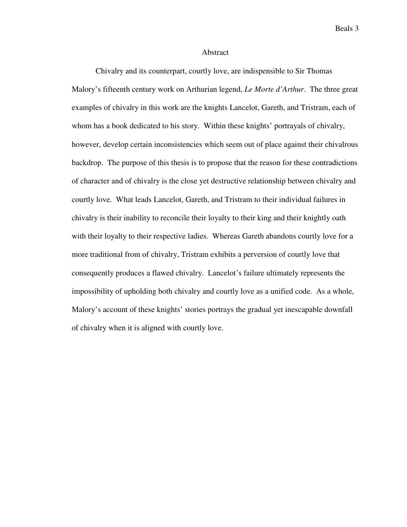### Abstract

Chivalry and its counterpart, courtly love, are indispensible to Sir Thomas Malory's fifteenth century work on Arthurian legend, *Le Morte d'Arthur*. The three great examples of chivalry in this work are the knights Lancelot, Gareth, and Tristram, each of whom has a book dedicated to his story. Within these knights' portrayals of chivalry, however, develop certain inconsistencies which seem out of place against their chivalrous backdrop. The purpose of this thesis is to propose that the reason for these contradictions of character and of chivalry is the close yet destructive relationship between chivalry and courtly love. What leads Lancelot, Gareth, and Tristram to their individual failures in chivalry is their inability to reconcile their loyalty to their king and their knightly oath with their loyalty to their respective ladies. Whereas Gareth abandons courtly love for a more traditional from of chivalry, Tristram exhibits a perversion of courtly love that consequently produces a flawed chivalry. Lancelot's failure ultimately represents the impossibility of upholding both chivalry and courtly love as a unified code. As a whole, Malory's account of these knights' stories portrays the gradual yet inescapable downfall of chivalry when it is aligned with courtly love.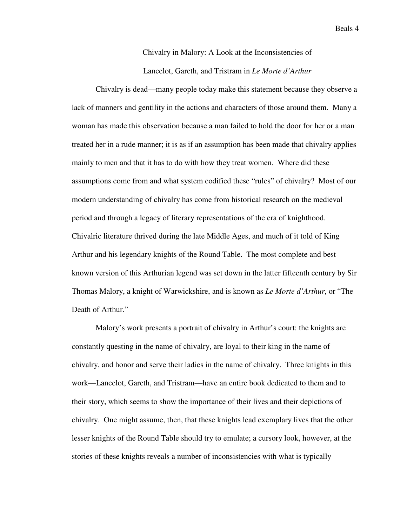# Chivalry in Malory: A Look at the Inconsistencies of Lancelot, Gareth, and Tristram in *Le Morte d'Arthur*

 Chivalry is dead—many people today make this statement because they observe a lack of manners and gentility in the actions and characters of those around them. Many a woman has made this observation because a man failed to hold the door for her or a man treated her in a rude manner; it is as if an assumption has been made that chivalry applies mainly to men and that it has to do with how they treat women. Where did these assumptions come from and what system codified these "rules" of chivalry? Most of our modern understanding of chivalry has come from historical research on the medieval period and through a legacy of literary representations of the era of knighthood. Chivalric literature thrived during the late Middle Ages, and much of it told of King Arthur and his legendary knights of the Round Table. The most complete and best known version of this Arthurian legend was set down in the latter fifteenth century by Sir Thomas Malory, a knight of Warwickshire, and is known as *Le Morte d'Arthur*, or "The Death of Arthur."

 Malory's work presents a portrait of chivalry in Arthur's court: the knights are constantly questing in the name of chivalry, are loyal to their king in the name of chivalry, and honor and serve their ladies in the name of chivalry. Three knights in this work—Lancelot, Gareth, and Tristram—have an entire book dedicated to them and to their story, which seems to show the importance of their lives and their depictions of chivalry. One might assume, then, that these knights lead exemplary lives that the other lesser knights of the Round Table should try to emulate; a cursory look, however, at the stories of these knights reveals a number of inconsistencies with what is typically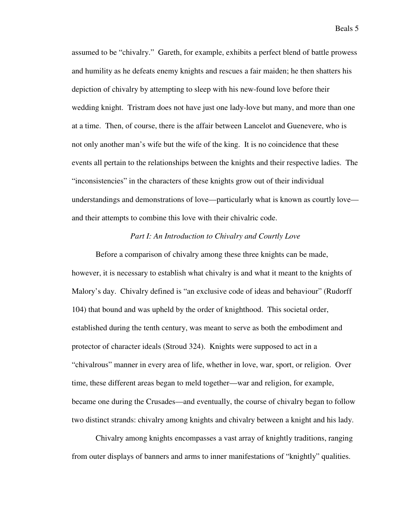assumed to be "chivalry." Gareth, for example, exhibits a perfect blend of battle prowess and humility as he defeats enemy knights and rescues a fair maiden; he then shatters his depiction of chivalry by attempting to sleep with his new-found love before their wedding knight. Tristram does not have just one lady-love but many, and more than one at a time. Then, of course, there is the affair between Lancelot and Guenevere, who is not only another man's wife but the wife of the king. It is no coincidence that these events all pertain to the relationships between the knights and their respective ladies. The "inconsistencies" in the characters of these knights grow out of their individual understandings and demonstrations of love—particularly what is known as courtly love and their attempts to combine this love with their chivalric code.

### *Part I: An Introduction to Chivalry and Courtly Love*

 Before a comparison of chivalry among these three knights can be made, however, it is necessary to establish what chivalry is and what it meant to the knights of Malory's day. Chivalry defined is "an exclusive code of ideas and behaviour" (Rudorff 104) that bound and was upheld by the order of knighthood. This societal order, established during the tenth century, was meant to serve as both the embodiment and protector of character ideals (Stroud 324). Knights were supposed to act in a "chivalrous" manner in every area of life, whether in love, war, sport, or religion. Over time, these different areas began to meld together—war and religion, for example, became one during the Crusades—and eventually, the course of chivalry began to follow two distinct strands: chivalry among knights and chivalry between a knight and his lady.

 Chivalry among knights encompasses a vast array of knightly traditions, ranging from outer displays of banners and arms to inner manifestations of "knightly" qualities.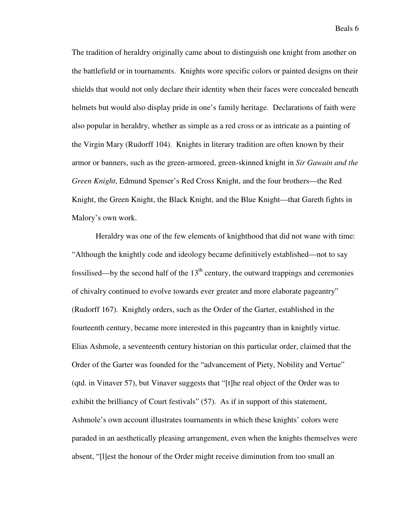The tradition of heraldry originally came about to distinguish one knight from another on the battlefield or in tournaments. Knights wore specific colors or painted designs on their shields that would not only declare their identity when their faces were concealed beneath helmets but would also display pride in one's family heritage. Declarations of faith were also popular in heraldry, whether as simple as a red cross or as intricate as a painting of the Virgin Mary (Rudorff 104). Knights in literary tradition are often known by their armor or banners, such as the green-armored, green-skinned knight in *Sir Gawain and the Green Knight*, Edmund Spenser's Red Cross Knight, and the four brothers—the Red Knight, the Green Knight, the Black Knight, and the Blue Knight—that Gareth fights in Malory's own work.

Heraldry was one of the few elements of knighthood that did not wane with time: "Although the knightly code and ideology became definitively established—not to say fossilised—by the second half of the  $13<sup>th</sup>$  century, the outward trappings and ceremonies of chivalry continued to evolve towards ever greater and more elaborate pageantry" (Rudorff 167). Knightly orders, such as the Order of the Garter, established in the fourteenth century, became more interested in this pageantry than in knightly virtue. Elias Ashmole, a seventeenth century historian on this particular order, claimed that the Order of the Garter was founded for the "advancement of Piety, Nobility and Vertue" (qtd. in Vinaver 57), but Vinaver suggests that "[t]he real object of the Order was to exhibit the brilliancy of Court festivals" (57). As if in support of this statement, Ashmole's own account illustrates tournaments in which these knights' colors were paraded in an aesthetically pleasing arrangement, even when the knights themselves were absent, "[l]est the honour of the Order might receive diminution from too small an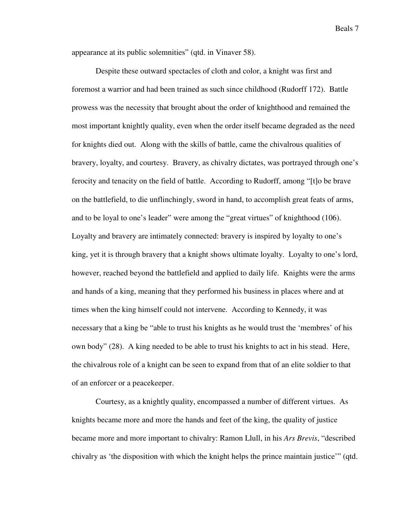appearance at its public solemnities" (qtd. in Vinaver 58).

 Despite these outward spectacles of cloth and color, a knight was first and foremost a warrior and had been trained as such since childhood (Rudorff 172). Battle prowess was the necessity that brought about the order of knighthood and remained the most important knightly quality, even when the order itself became degraded as the need for knights died out. Along with the skills of battle, came the chivalrous qualities of bravery, loyalty, and courtesy. Bravery, as chivalry dictates, was portrayed through one's ferocity and tenacity on the field of battle. According to Rudorff, among "[t]o be brave on the battlefield, to die unflinchingly, sword in hand, to accomplish great feats of arms, and to be loyal to one's leader" were among the "great virtues" of knighthood (106). Loyalty and bravery are intimately connected: bravery is inspired by loyalty to one's king, yet it is through bravery that a knight shows ultimate loyalty. Loyalty to one's lord, however, reached beyond the battlefield and applied to daily life. Knights were the arms and hands of a king, meaning that they performed his business in places where and at times when the king himself could not intervene. According to Kennedy, it was necessary that a king be "able to trust his knights as he would trust the 'membres' of his own body" (28). A king needed to be able to trust his knights to act in his stead. Here, the chivalrous role of a knight can be seen to expand from that of an elite soldier to that of an enforcer or a peacekeeper.

Courtesy, as a knightly quality, encompassed a number of different virtues. As knights became more and more the hands and feet of the king, the quality of justice became more and more important to chivalry: Ramon Llull, in his *Ars Brevis*, "described chivalry as 'the disposition with which the knight helps the prince maintain justice'" (qtd.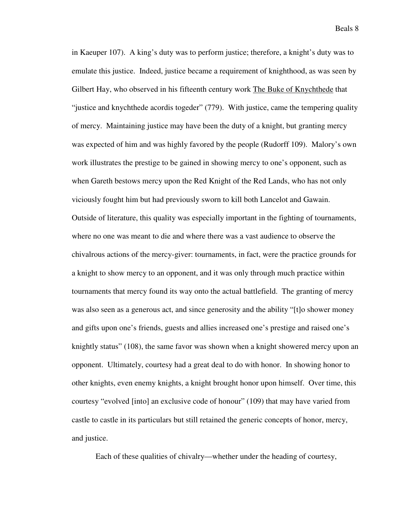in Kaeuper 107). A king's duty was to perform justice; therefore, a knight's duty was to emulate this justice. Indeed, justice became a requirement of knighthood, as was seen by Gilbert Hay, who observed in his fifteenth century work The Buke of Knychthede that "justice and knychthede acordis togeder" (779). With justice, came the tempering quality of mercy. Maintaining justice may have been the duty of a knight, but granting mercy was expected of him and was highly favored by the people (Rudorff 109). Malory's own work illustrates the prestige to be gained in showing mercy to one's opponent, such as when Gareth bestows mercy upon the Red Knight of the Red Lands, who has not only viciously fought him but had previously sworn to kill both Lancelot and Gawain. Outside of literature, this quality was especially important in the fighting of tournaments, where no one was meant to die and where there was a vast audience to observe the chivalrous actions of the mercy-giver: tournaments, in fact, were the practice grounds for a knight to show mercy to an opponent, and it was only through much practice within tournaments that mercy found its way onto the actual battlefield. The granting of mercy was also seen as a generous act, and since generosity and the ability "[t]o shower money and gifts upon one's friends, guests and allies increased one's prestige and raised one's knightly status" (108), the same favor was shown when a knight showered mercy upon an opponent. Ultimately, courtesy had a great deal to do with honor. In showing honor to other knights, even enemy knights, a knight brought honor upon himself. Over time, this courtesy "evolved [into] an exclusive code of honour" (109) that may have varied from castle to castle in its particulars but still retained the generic concepts of honor, mercy, and justice.

Each of these qualities of chivalry—whether under the heading of courtesy,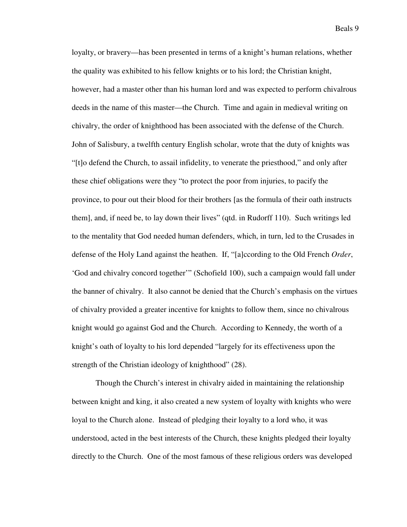loyalty, or bravery—has been presented in terms of a knight's human relations, whether the quality was exhibited to his fellow knights or to his lord; the Christian knight, however, had a master other than his human lord and was expected to perform chivalrous deeds in the name of this master—the Church. Time and again in medieval writing on chivalry, the order of knighthood has been associated with the defense of the Church. John of Salisbury, a twelfth century English scholar, wrote that the duty of knights was "[t]o defend the Church, to assail infidelity, to venerate the priesthood," and only after these chief obligations were they "to protect the poor from injuries, to pacify the province, to pour out their blood for their brothers [as the formula of their oath instructs them], and, if need be, to lay down their lives" (qtd. in Rudorff 110). Such writings led to the mentality that God needed human defenders, which, in turn, led to the Crusades in defense of the Holy Land against the heathen. If, "[a]ccording to the Old French *Order*, 'God and chivalry concord together'" (Schofield 100), such a campaign would fall under the banner of chivalry. It also cannot be denied that the Church's emphasis on the virtues of chivalry provided a greater incentive for knights to follow them, since no chivalrous knight would go against God and the Church. According to Kennedy, the worth of a knight's oath of loyalty to his lord depended "largely for its effectiveness upon the strength of the Christian ideology of knighthood" (28).

Though the Church's interest in chivalry aided in maintaining the relationship between knight and king, it also created a new system of loyalty with knights who were loyal to the Church alone. Instead of pledging their loyalty to a lord who, it was understood, acted in the best interests of the Church, these knights pledged their loyalty directly to the Church. One of the most famous of these religious orders was developed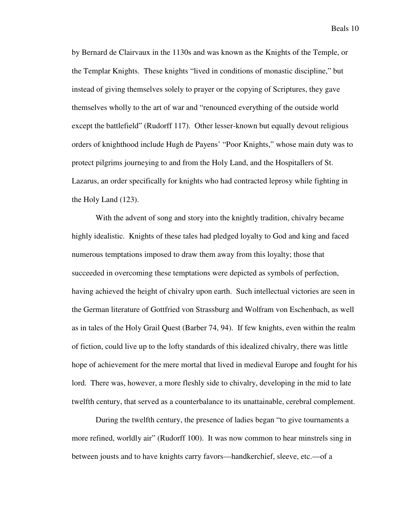by Bernard de Clairvaux in the 1130s and was known as the Knights of the Temple, or the Templar Knights. These knights "lived in conditions of monastic discipline," but instead of giving themselves solely to prayer or the copying of Scriptures, they gave themselves wholly to the art of war and "renounced everything of the outside world except the battlefield" (Rudorff 117). Other lesser-known but equally devout religious orders of knighthood include Hugh de Payens' "Poor Knights," whose main duty was to protect pilgrims journeying to and from the Holy Land, and the Hospitallers of St. Lazarus, an order specifically for knights who had contracted leprosy while fighting in the Holy Land (123).

With the advent of song and story into the knightly tradition, chivalry became highly idealistic. Knights of these tales had pledged loyalty to God and king and faced numerous temptations imposed to draw them away from this loyalty; those that succeeded in overcoming these temptations were depicted as symbols of perfection, having achieved the height of chivalry upon earth. Such intellectual victories are seen in the German literature of Gottfried von Strassburg and Wolfram von Eschenbach, as well as in tales of the Holy Grail Quest (Barber 74, 94). If few knights, even within the realm of fiction, could live up to the lofty standards of this idealized chivalry, there was little hope of achievement for the mere mortal that lived in medieval Europe and fought for his lord. There was, however, a more fleshly side to chivalry, developing in the mid to late twelfth century, that served as a counterbalance to its unattainable, cerebral complement.

During the twelfth century, the presence of ladies began "to give tournaments a more refined, worldly air" (Rudorff 100). It was now common to hear minstrels sing in between jousts and to have knights carry favors—handkerchief, sleeve, etc.—of a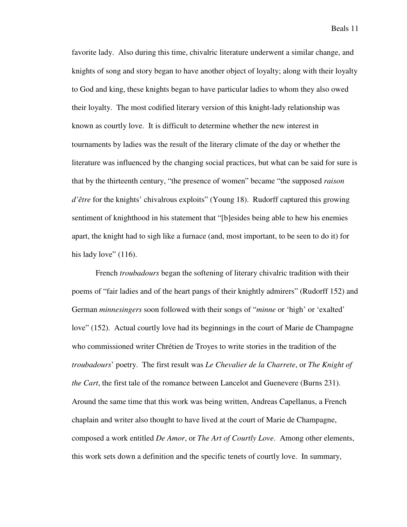favorite lady. Also during this time, chivalric literature underwent a similar change, and knights of song and story began to have another object of loyalty; along with their loyalty to God and king, these knights began to have particular ladies to whom they also owed their loyalty. The most codified literary version of this knight-lady relationship was known as courtly love. It is difficult to determine whether the new interest in tournaments by ladies was the result of the literary climate of the day or whether the literature was influenced by the changing social practices, but what can be said for sure is that by the thirteenth century, "the presence of women" became "the supposed *raison d'être* for the knights' chivalrous exploits" (Young 18). Rudorff captured this growing sentiment of knighthood in his statement that "[b]esides being able to hew his enemies apart, the knight had to sigh like a furnace (and, most important, to be seen to do it) for his lady love"  $(116)$ .

French *troubadours* began the softening of literary chivalric tradition with their poems of "fair ladies and of the heart pangs of their knightly admirers" (Rudorff 152) and German *minnesingers* soon followed with their songs of "*minne* or 'high' or 'exalted' love" (152). Actual courtly love had its beginnings in the court of Marie de Champagne who commissioned writer Chrétien de Troyes to write stories in the tradition of the *troubadours*' poetry. The first result was *Le Chevalier de la Charrete*, or *The Knight of the Cart*, the first tale of the romance between Lancelot and Guenevere (Burns 231). Around the same time that this work was being written, Andreas Capellanus, a French chaplain and writer also thought to have lived at the court of Marie de Champagne, composed a work entitled *De Amor*, or *The Art of Courtly Love*. Among other elements, this work sets down a definition and the specific tenets of courtly love. In summary,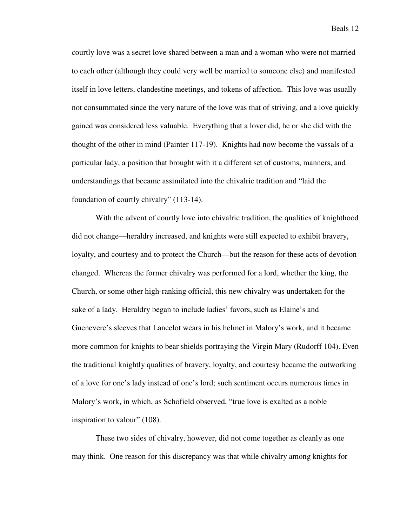courtly love was a secret love shared between a man and a woman who were not married to each other (although they could very well be married to someone else) and manifested itself in love letters, clandestine meetings, and tokens of affection. This love was usually not consummated since the very nature of the love was that of striving, and a love quickly gained was considered less valuable. Everything that a lover did, he or she did with the thought of the other in mind (Painter 117-19). Knights had now become the vassals of a particular lady, a position that brought with it a different set of customs, manners, and understandings that became assimilated into the chivalric tradition and "laid the foundation of courtly chivalry" (113-14).

With the advent of courtly love into chivalric tradition, the qualities of knighthood did not change—heraldry increased, and knights were still expected to exhibit bravery, loyalty, and courtesy and to protect the Church—but the reason for these acts of devotion changed. Whereas the former chivalry was performed for a lord, whether the king, the Church, or some other high-ranking official, this new chivalry was undertaken for the sake of a lady. Heraldry began to include ladies' favors, such as Elaine's and Guenevere's sleeves that Lancelot wears in his helmet in Malory's work, and it became more common for knights to bear shields portraying the Virgin Mary (Rudorff 104). Even the traditional knightly qualities of bravery, loyalty, and courtesy became the outworking of a love for one's lady instead of one's lord; such sentiment occurs numerous times in Malory's work, in which, as Schofield observed, "true love is exalted as a noble inspiration to valour" (108).

These two sides of chivalry, however, did not come together as cleanly as one may think. One reason for this discrepancy was that while chivalry among knights for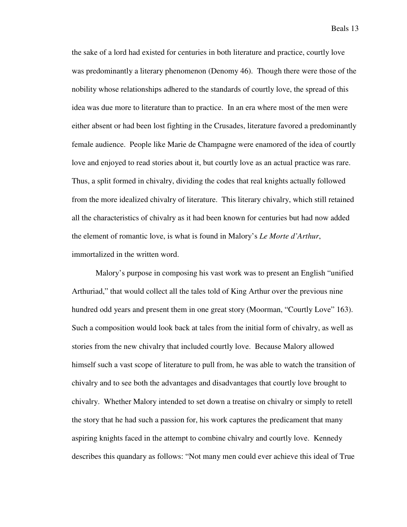the sake of a lord had existed for centuries in both literature and practice, courtly love was predominantly a literary phenomenon (Denomy 46). Though there were those of the nobility whose relationships adhered to the standards of courtly love, the spread of this idea was due more to literature than to practice. In an era where most of the men were either absent or had been lost fighting in the Crusades, literature favored a predominantly female audience. People like Marie de Champagne were enamored of the idea of courtly love and enjoyed to read stories about it, but courtly love as an actual practice was rare. Thus, a split formed in chivalry, dividing the codes that real knights actually followed from the more idealized chivalry of literature. This literary chivalry, which still retained all the characteristics of chivalry as it had been known for centuries but had now added the element of romantic love, is what is found in Malory's *Le Morte d'Arthur*, immortalized in the written word.

Malory's purpose in composing his vast work was to present an English "unified Arthuriad," that would collect all the tales told of King Arthur over the previous nine hundred odd years and present them in one great story (Moorman, "Courtly Love" 163). Such a composition would look back at tales from the initial form of chivalry, as well as stories from the new chivalry that included courtly love. Because Malory allowed himself such a vast scope of literature to pull from, he was able to watch the transition of chivalry and to see both the advantages and disadvantages that courtly love brought to chivalry. Whether Malory intended to set down a treatise on chivalry or simply to retell the story that he had such a passion for, his work captures the predicament that many aspiring knights faced in the attempt to combine chivalry and courtly love. Kennedy describes this quandary as follows: "Not many men could ever achieve this ideal of True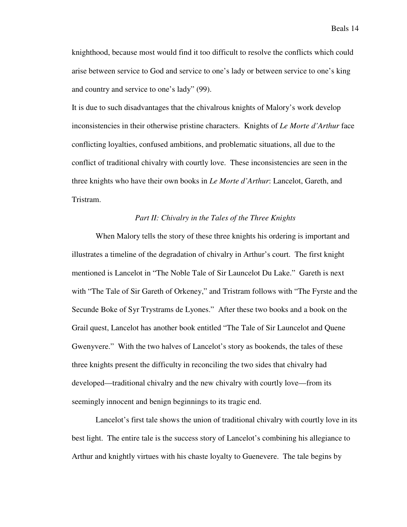knighthood, because most would find it too difficult to resolve the conflicts which could arise between service to God and service to one's lady or between service to one's king and country and service to one's lady" (99).

It is due to such disadvantages that the chivalrous knights of Malory's work develop inconsistencies in their otherwise pristine characters. Knights of *Le Morte d'Arthur* face conflicting loyalties, confused ambitions, and problematic situations, all due to the conflict of traditional chivalry with courtly love. These inconsistencies are seen in the three knights who have their own books in *Le Morte d'Arthur*: Lancelot, Gareth, and Tristram.

## *Part II: Chivalry in the Tales of the Three Knights*

When Malory tells the story of these three knights his ordering is important and illustrates a timeline of the degradation of chivalry in Arthur's court. The first knight mentioned is Lancelot in "The Noble Tale of Sir Launcelot Du Lake." Gareth is next with "The Tale of Sir Gareth of Orkeney," and Tristram follows with "The Fyrste and the Secunde Boke of Syr Trystrams de Lyones." After these two books and a book on the Grail quest, Lancelot has another book entitled "The Tale of Sir Launcelot and Quene Gwenyvere." With the two halves of Lancelot's story as bookends, the tales of these three knights present the difficulty in reconciling the two sides that chivalry had developed—traditional chivalry and the new chivalry with courtly love—from its seemingly innocent and benign beginnings to its tragic end.

Lancelot's first tale shows the union of traditional chivalry with courtly love in its best light. The entire tale is the success story of Lancelot's combining his allegiance to Arthur and knightly virtues with his chaste loyalty to Guenevere. The tale begins by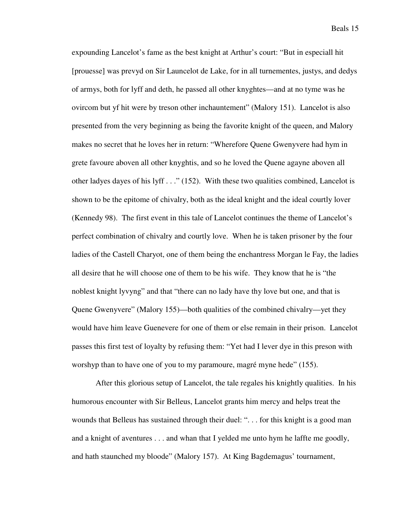expounding Lancelot's fame as the best knight at Arthur's court: "But in especiall hit [prouesse] was prevyd on Sir Launcelot de Lake, for in all turnementes, justys, and dedys of armys, both for lyff and deth, he passed all other knyghtes—and at no tyme was he ovircom but yf hit were by treson other inchauntement" (Malory 151). Lancelot is also presented from the very beginning as being the favorite knight of the queen, and Malory makes no secret that he loves her in return: "Wherefore Quene Gwenyvere had hym in grete favoure aboven all other knyghtis, and so he loved the Quene agayne aboven all other ladyes dayes of his lyff . . ." (152). With these two qualities combined, Lancelot is shown to be the epitome of chivalry, both as the ideal knight and the ideal courtly lover (Kennedy 98). The first event in this tale of Lancelot continues the theme of Lancelot's perfect combination of chivalry and courtly love. When he is taken prisoner by the four ladies of the Castell Charyot, one of them being the enchantress Morgan le Fay, the ladies all desire that he will choose one of them to be his wife. They know that he is "the noblest knight lyvyng" and that "there can no lady have thy love but one, and that is Quene Gwenyvere" (Malory 155)—both qualities of the combined chivalry—yet they would have him leave Guenevere for one of them or else remain in their prison. Lancelot passes this first test of loyalty by refusing them: "Yet had I lever dye in this preson with worshyp than to have one of you to my paramoure, magré myne hede" (155).

After this glorious setup of Lancelot, the tale regales his knightly qualities. In his humorous encounter with Sir Belleus, Lancelot grants him mercy and helps treat the wounds that Belleus has sustained through their duel: ". . . for this knight is a good man and a knight of aventures . . . and whan that I yelded me unto hym he laffte me goodly, and hath staunched my bloode" (Malory 157). At King Bagdemagus' tournament,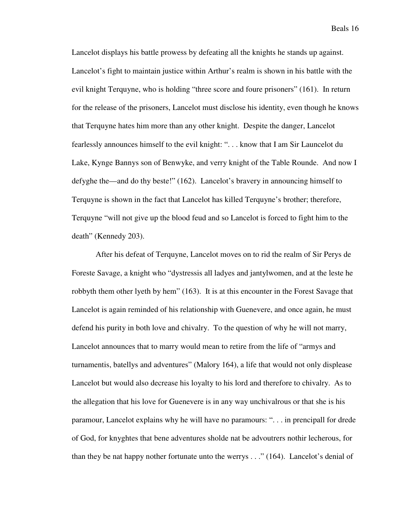Lancelot displays his battle prowess by defeating all the knights he stands up against. Lancelot's fight to maintain justice within Arthur's realm is shown in his battle with the evil knight Terquyne, who is holding "three score and foure prisoners" (161). In return for the release of the prisoners, Lancelot must disclose his identity, even though he knows that Terquyne hates him more than any other knight. Despite the danger, Lancelot fearlessly announces himself to the evil knight: ". . . know that I am Sir Launcelot du Lake, Kynge Bannys son of Benwyke, and verry knight of the Table Rounde. And now I defyghe the—and do thy beste!" (162). Lancelot's bravery in announcing himself to Terquyne is shown in the fact that Lancelot has killed Terquyne's brother; therefore, Terquyne "will not give up the blood feud and so Lancelot is forced to fight him to the death" (Kennedy 203).

After his defeat of Terquyne, Lancelot moves on to rid the realm of Sir Perys de Foreste Savage, a knight who "dystressis all ladyes and jantylwomen, and at the leste he robbyth them other lyeth by hem" (163). It is at this encounter in the Forest Savage that Lancelot is again reminded of his relationship with Guenevere, and once again, he must defend his purity in both love and chivalry. To the question of why he will not marry, Lancelot announces that to marry would mean to retire from the life of "armys and turnamentis, batellys and adventures" (Malory 164), a life that would not only displease Lancelot but would also decrease his loyalty to his lord and therefore to chivalry. As to the allegation that his love for Guenevere is in any way unchivalrous or that she is his paramour, Lancelot explains why he will have no paramours: ". . . in prencipall for drede of God, for knyghtes that bene adventures sholde nat be advoutrers nothir lecherous, for than they be nat happy nother fortunate unto the werrys . . ." (164). Lancelot's denial of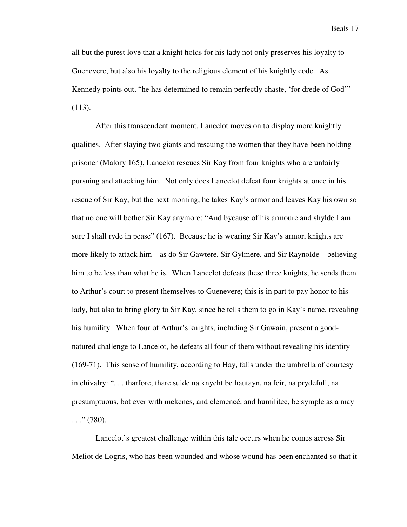all but the purest love that a knight holds for his lady not only preserves his loyalty to Guenevere, but also his loyalty to the religious element of his knightly code. As Kennedy points out, "he has determined to remain perfectly chaste, 'for drede of God'" (113).

After this transcendent moment, Lancelot moves on to display more knightly qualities. After slaying two giants and rescuing the women that they have been holding prisoner (Malory 165), Lancelot rescues Sir Kay from four knights who are unfairly pursuing and attacking him. Not only does Lancelot defeat four knights at once in his rescue of Sir Kay, but the next morning, he takes Kay's armor and leaves Kay his own so that no one will bother Sir Kay anymore: "And bycause of his armoure and shylde I am sure I shall ryde in pease" (167). Because he is wearing Sir Kay's armor, knights are more likely to attack him—as do Sir Gawtere, Sir Gylmere, and Sir Raynolde—believing him to be less than what he is. When Lancelot defeats these three knights, he sends them to Arthur's court to present themselves to Guenevere; this is in part to pay honor to his lady, but also to bring glory to Sir Kay, since he tells them to go in Kay's name, revealing his humility. When four of Arthur's knights, including Sir Gawain, present a goodnatured challenge to Lancelot, he defeats all four of them without revealing his identity (169-71). This sense of humility, according to Hay, falls under the umbrella of courtesy in chivalry: ". . . tharfore, thare sulde na knycht be hautayn, na feir, na prydefull, na presumptuous, bot ever with mekenes, and clemencé, and humilitee, be symple as a may  $\ldots$ ." (780).

Lancelot's greatest challenge within this tale occurs when he comes across Sir Meliot de Logris, who has been wounded and whose wound has been enchanted so that it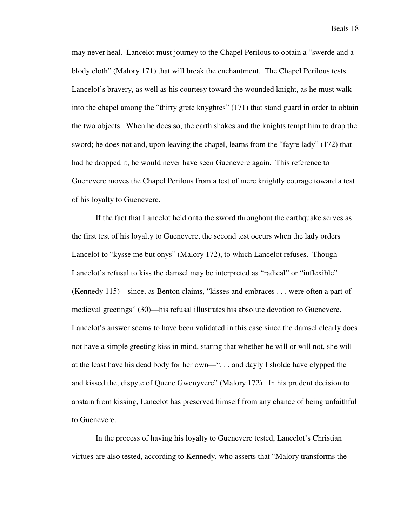may never heal. Lancelot must journey to the Chapel Perilous to obtain a "swerde and a blody cloth" (Malory 171) that will break the enchantment. The Chapel Perilous tests Lancelot's bravery, as well as his courtesy toward the wounded knight, as he must walk into the chapel among the "thirty grete knyghtes" (171) that stand guard in order to obtain the two objects. When he does so, the earth shakes and the knights tempt him to drop the sword; he does not and, upon leaving the chapel, learns from the "fayre lady" (172) that had he dropped it, he would never have seen Guenevere again. This reference to Guenevere moves the Chapel Perilous from a test of mere knightly courage toward a test of his loyalty to Guenevere.

If the fact that Lancelot held onto the sword throughout the earthquake serves as the first test of his loyalty to Guenevere, the second test occurs when the lady orders Lancelot to "kysse me but onys" (Malory 172), to which Lancelot refuses. Though Lancelot's refusal to kiss the damsel may be interpreted as "radical" or "inflexible" (Kennedy 115)—since, as Benton claims, "kisses and embraces . . . were often a part of medieval greetings" (30)—his refusal illustrates his absolute devotion to Guenevere. Lancelot's answer seems to have been validated in this case since the damsel clearly does not have a simple greeting kiss in mind, stating that whether he will or will not, she will at the least have his dead body for her own—". . . and dayly I sholde have clypped the and kissed the, dispyte of Quene Gwenyvere" (Malory 172). In his prudent decision to abstain from kissing, Lancelot has preserved himself from any chance of being unfaithful to Guenevere.

In the process of having his loyalty to Guenevere tested, Lancelot's Christian virtues are also tested, according to Kennedy, who asserts that "Malory transforms the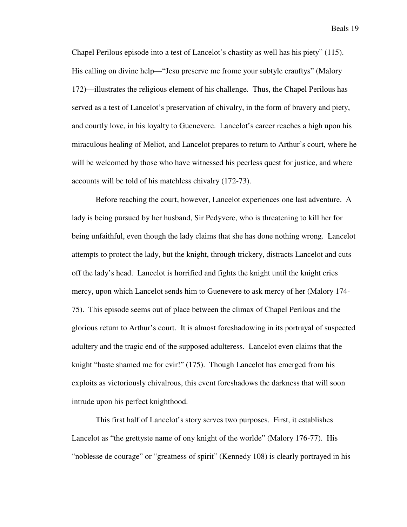Chapel Perilous episode into a test of Lancelot's chastity as well has his piety" (115). His calling on divine help—"Jesu preserve me frome your subtyle crauftys" (Malory 172)—illustrates the religious element of his challenge. Thus, the Chapel Perilous has served as a test of Lancelot's preservation of chivalry, in the form of bravery and piety, and courtly love, in his loyalty to Guenevere. Lancelot's career reaches a high upon his miraculous healing of Meliot, and Lancelot prepares to return to Arthur's court, where he will be welcomed by those who have witnessed his peerless quest for justice, and where accounts will be told of his matchless chivalry (172-73).

Before reaching the court, however, Lancelot experiences one last adventure. A lady is being pursued by her husband, Sir Pedyvere, who is threatening to kill her for being unfaithful, even though the lady claims that she has done nothing wrong. Lancelot attempts to protect the lady, but the knight, through trickery, distracts Lancelot and cuts off the lady's head. Lancelot is horrified and fights the knight until the knight cries mercy, upon which Lancelot sends him to Guenevere to ask mercy of her (Malory 174- 75). This episode seems out of place between the climax of Chapel Perilous and the glorious return to Arthur's court. It is almost foreshadowing in its portrayal of suspected adultery and the tragic end of the supposed adulteress. Lancelot even claims that the knight "haste shamed me for evir!" (175). Though Lancelot has emerged from his exploits as victoriously chivalrous, this event foreshadows the darkness that will soon intrude upon his perfect knighthood.

This first half of Lancelot's story serves two purposes. First, it establishes Lancelot as "the grettyste name of ony knight of the worlde" (Malory 176-77). His "noblesse de courage" or "greatness of spirit" (Kennedy 108) is clearly portrayed in his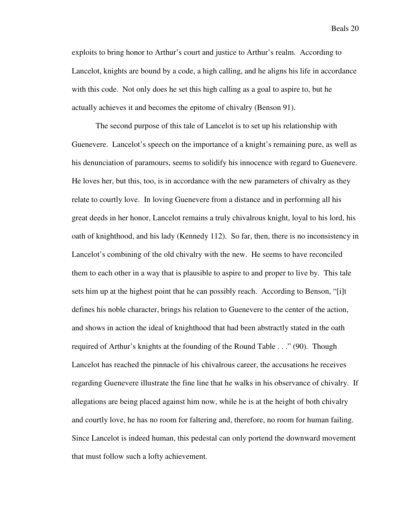exploits to bring honor to Arthur's court and justice to Arthur's realm. According to Lancelot, knights are bound by a code, a high calling, and he aligns his life in accordance with this code. Not only does he set this high calling as a goal to aspire to, but he actually achieves it and becomes the epitome of chivalry (Benson 91).

The second purpose of this tale of Lancelot is to set up his relationship with Guenevere. Lancelot's speech on the importance of a knight's remaining pure, as well as his denunciation of paramours, seems to solidify his innocence with regard to Guenevere. He loves her, but this, too, is in accordance with the new parameters of chivalry as they relate to courtly love. In loving Guenevere from a distance and in performing all his great deeds in her honor, Lancelot remains a truly chivalrous knight, loyal to his lord, his oath of knighthood, and his lady (Kennedy 112). So far, then, there is no inconsistency in Lancelot's combining of the old chivalry with the new. He seems to have reconciled them to each other in a way that is plausible to aspire to and proper to live by. This tale sets him up at the highest point that he can possibly reach. According to Benson, "[i]t defines his noble character, brings his relation to Guenevere to the center of the action, and shows in action the ideal of knighthood that had been abstractly stated in the oath required of Arthur's knights at the founding of the Round Table . . ." (90). Though Lancelot has reached the pinnacle of his chivalrous career, the accusations he receives regarding Guenevere illustrate the fine line that he walks in his observance of chivalry. If allegations are being placed against him now, while he is at the height of both chivalry and courtly love, he has no room for faltering and, therefore, no room for human failing. Since Lancelot is indeed human, this pedestal can only portend the downward movement that must follow such a lofty achievement.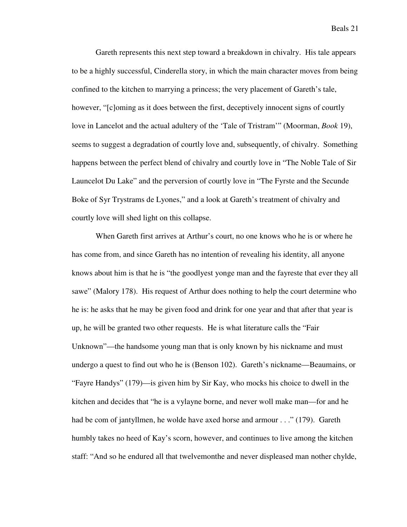Gareth represents this next step toward a breakdown in chivalry. His tale appears to be a highly successful, Cinderella story, in which the main character moves from being confined to the kitchen to marrying a princess; the very placement of Gareth's tale, however, "[c]oming as it does between the first, deceptively innocent signs of courtly love in Lancelot and the actual adultery of the 'Tale of Tristram'" (Moorman, *Book* 19), seems to suggest a degradation of courtly love and, subsequently, of chivalry. Something happens between the perfect blend of chivalry and courtly love in "The Noble Tale of Sir Launcelot Du Lake" and the perversion of courtly love in "The Fyrste and the Secunde Boke of Syr Trystrams de Lyones," and a look at Gareth's treatment of chivalry and courtly love will shed light on this collapse.

When Gareth first arrives at Arthur's court, no one knows who he is or where he has come from, and since Gareth has no intention of revealing his identity, all anyone knows about him is that he is "the goodlyest yonge man and the fayreste that ever they all sawe" (Malory 178). His request of Arthur does nothing to help the court determine who he is: he asks that he may be given food and drink for one year and that after that year is up, he will be granted two other requests. He is what literature calls the "Fair Unknown"—the handsome young man that is only known by his nickname and must undergo a quest to find out who he is (Benson 102). Gareth's nickname—Beaumains, or "Fayre Handys" (179)—is given him by Sir Kay, who mocks his choice to dwell in the kitchen and decides that "he is a vylayne borne, and never woll make man—for and he had be com of jantyllmen, he wolde have axed horse and armour . . ." (179). Gareth humbly takes no heed of Kay's scorn, however, and continues to live among the kitchen staff: "And so he endured all that twelvemonthe and never displeased man nother chylde,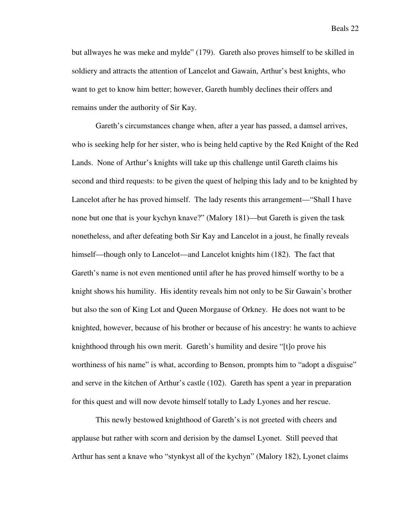but allwayes he was meke and mylde" (179). Gareth also proves himself to be skilled in soldiery and attracts the attention of Lancelot and Gawain, Arthur's best knights, who want to get to know him better; however, Gareth humbly declines their offers and remains under the authority of Sir Kay.

Gareth's circumstances change when, after a year has passed, a damsel arrives, who is seeking help for her sister, who is being held captive by the Red Knight of the Red Lands. None of Arthur's knights will take up this challenge until Gareth claims his second and third requests: to be given the quest of helping this lady and to be knighted by Lancelot after he has proved himself. The lady resents this arrangement—"Shall I have none but one that is your kychyn knave?" (Malory 181)—but Gareth is given the task nonetheless, and after defeating both Sir Kay and Lancelot in a joust, he finally reveals himself—though only to Lancelot—and Lancelot knights him (182). The fact that Gareth's name is not even mentioned until after he has proved himself worthy to be a knight shows his humility. His identity reveals him not only to be Sir Gawain's brother but also the son of King Lot and Queen Morgause of Orkney. He does not want to be knighted, however, because of his brother or because of his ancestry: he wants to achieve knighthood through his own merit. Gareth's humility and desire "[t]o prove his worthiness of his name" is what, according to Benson, prompts him to "adopt a disguise" and serve in the kitchen of Arthur's castle (102). Gareth has spent a year in preparation for this quest and will now devote himself totally to Lady Lyones and her rescue.

This newly bestowed knighthood of Gareth's is not greeted with cheers and applause but rather with scorn and derision by the damsel Lyonet. Still peeved that Arthur has sent a knave who "stynkyst all of the kychyn" (Malory 182), Lyonet claims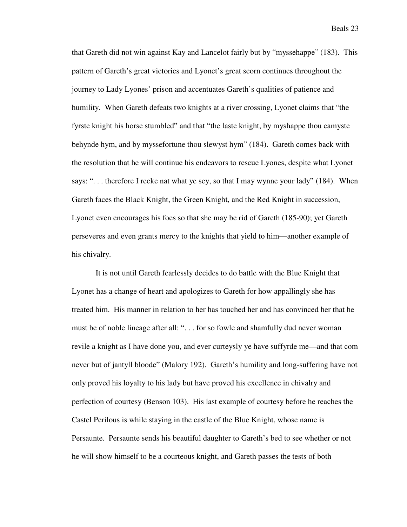that Gareth did not win against Kay and Lancelot fairly but by "myssehappe" (183). This pattern of Gareth's great victories and Lyonet's great scorn continues throughout the journey to Lady Lyones' prison and accentuates Gareth's qualities of patience and humility. When Gareth defeats two knights at a river crossing, Lyonet claims that "the fyrste knight his horse stumbled" and that "the laste knight, by myshappe thou camyste behynde hym, and by myssefortune thou slewyst hym" (184). Gareth comes back with the resolution that he will continue his endeavors to rescue Lyones, despite what Lyonet says: "... therefore I recke nat what ye sey, so that I may wynne your lady" (184). When Gareth faces the Black Knight, the Green Knight, and the Red Knight in succession, Lyonet even encourages his foes so that she may be rid of Gareth (185-90); yet Gareth perseveres and even grants mercy to the knights that yield to him—another example of his chivalry.

It is not until Gareth fearlessly decides to do battle with the Blue Knight that Lyonet has a change of heart and apologizes to Gareth for how appallingly she has treated him. His manner in relation to her has touched her and has convinced her that he must be of noble lineage after all: ". . . for so fowle and shamfully dud never woman revile a knight as I have done you, and ever curteysly ye have suffyrde me—and that com never but of jantyll bloode" (Malory 192). Gareth's humility and long-suffering have not only proved his loyalty to his lady but have proved his excellence in chivalry and perfection of courtesy (Benson 103). His last example of courtesy before he reaches the Castel Perilous is while staying in the castle of the Blue Knight, whose name is Persaunte. Persaunte sends his beautiful daughter to Gareth's bed to see whether or not he will show himself to be a courteous knight, and Gareth passes the tests of both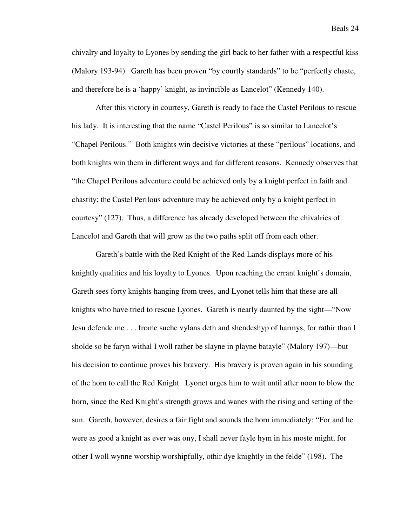chivalry and loyalty to Lyones by sending the girl back to her father with a respectful kiss (Malory 193-94). Gareth has been proven "by courtly standards" to be "perfectly chaste, and therefore he is a 'happy' knight, as invincible as Lancelot" (Kennedy 140).

After this victory in courtesy, Gareth is ready to face the Castel Perilous to rescue his lady. It is interesting that the name "Castel Perilous" is so similar to Lancelot's "Chapel Perilous." Both knights win decisive victories at these "perilous" locations, and both knights win them in different ways and for different reasons. Kennedy observes that "the Chapel Perilous adventure could be achieved only by a knight perfect in faith and chastity; the Castel Perilous adventure may be achieved only by a knight perfect in courtesy" (127). Thus, a difference has already developed between the chivalries of Lancelot and Gareth that will grow as the two paths split off from each other.

Gareth's battle with the Red Knight of the Red Lands displays more of his knightly qualities and his loyalty to Lyones. Upon reaching the errant knight's domain, Gareth sees forty knights hanging from trees, and Lyonet tells him that these are all knights who have tried to rescue Lyones. Gareth is nearly daunted by the sight—"Now Jesu defende me . . . frome suche vylans deth and shendeshyp of harmys, for rathir than I sholde so be faryn withal I woll rather be slayne in playne batayle" (Malory 197)—but his decision to continue proves his bravery. His bravery is proven again in his sounding of the horn to call the Red Knight. Lyonet urges him to wait until after noon to blow the horn, since the Red Knight's strength grows and wanes with the rising and setting of the sun. Gareth, however, desires a fair fight and sounds the horn immediately: "For and he were as good a knight as ever was ony, I shall never fayle hym in his moste might, for other I woll wynne worship worshipfully, othir dye knightly in the felde" (198). The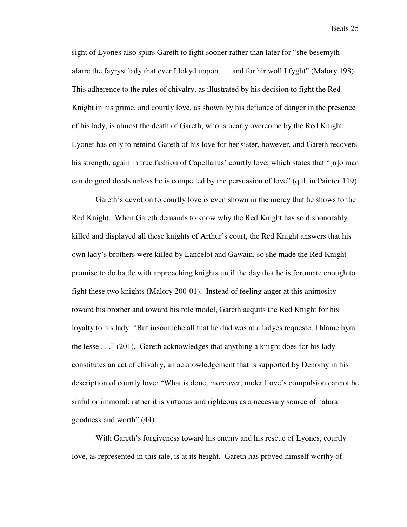sight of Lyones also spurs Gareth to fight sooner rather than later for "she besemyth afarre the fayryst lady that ever I lokyd uppon . . . and for hir woll I fyght" (Malory 198). This adherence to the rules of chivalry, as illustrated by his decision to fight the Red Knight in his prime, and courtly love, as shown by his defiance of danger in the presence of his lady, is almost the death of Gareth, who is nearly overcome by the Red Knight. Lyonet has only to remind Gareth of his love for her sister, however, and Gareth recovers his strength, again in true fashion of Capellanus' courtly love, which states that "[n]o man can do good deeds unless he is compelled by the persuasion of love" (qtd. in Painter 119).

Gareth's devotion to courtly love is even shown in the mercy that he shows to the Red Knight. When Gareth demands to know why the Red Knight has so dishonorably killed and displayed all these knights of Arthur's court, the Red Knight answers that his own lady's brothers were killed by Lancelot and Gawain, so she made the Red Knight promise to do battle with approaching knights until the day that he is fortunate enough to fight these two knights (Malory 200-01). Instead of feeling anger at this animosity toward his brother and toward his role model, Gareth acquits the Red Knight for his loyalty to his lady: "But insomuche all that he dud was at a ladyes requeste, I blame hym the lesse . . ." (201). Gareth acknowledges that anything a knight does for his lady constitutes an act of chivalry, an acknowledgement that is supported by Denomy in his description of courtly love: "What is done, moreover, under Love's compulsion cannot be sinful or immoral; rather it is virtuous and righteous as a necessary source of natural goodness and worth" (44).

With Gareth's forgiveness toward his enemy and his rescue of Lyones, courtly love, as represented in this tale, is at its height. Gareth has proved himself worthy of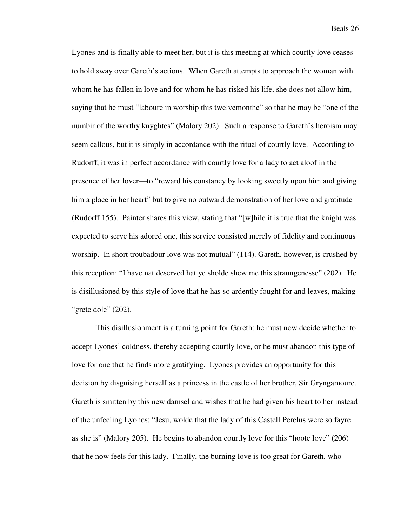Lyones and is finally able to meet her, but it is this meeting at which courtly love ceases to hold sway over Gareth's actions. When Gareth attempts to approach the woman with whom he has fallen in love and for whom he has risked his life, she does not allow him, saying that he must "laboure in worship this twelvemonthe" so that he may be "one of the numbir of the worthy knyghtes" (Malory 202). Such a response to Gareth's heroism may seem callous, but it is simply in accordance with the ritual of courtly love. According to Rudorff, it was in perfect accordance with courtly love for a lady to act aloof in the presence of her lover—to "reward his constancy by looking sweetly upon him and giving him a place in her heart" but to give no outward demonstration of her love and gratitude (Rudorff 155). Painter shares this view, stating that "[w]hile it is true that the knight was expected to serve his adored one, this service consisted merely of fidelity and continuous worship. In short troubadour love was not mutual" (114). Gareth, however, is crushed by this reception: "I have nat deserved hat ye sholde shew me this straungenesse" (202). He is disillusioned by this style of love that he has so ardently fought for and leaves, making "grete dole" (202).

This disillusionment is a turning point for Gareth: he must now decide whether to accept Lyones' coldness, thereby accepting courtly love, or he must abandon this type of love for one that he finds more gratifying. Lyones provides an opportunity for this decision by disguising herself as a princess in the castle of her brother, Sir Gryngamoure. Gareth is smitten by this new damsel and wishes that he had given his heart to her instead of the unfeeling Lyones: "Jesu, wolde that the lady of this Castell Perelus were so fayre as she is" (Malory 205). He begins to abandon courtly love for this "hoote love" (206) that he now feels for this lady. Finally, the burning love is too great for Gareth, who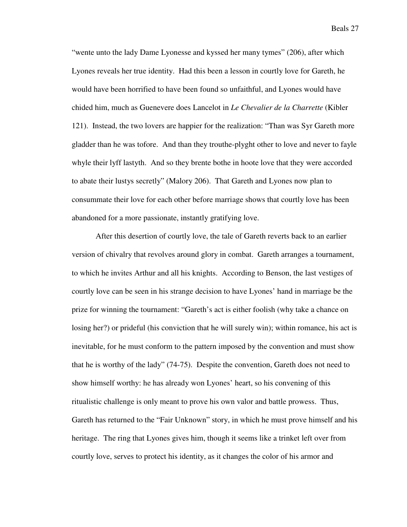"wente unto the lady Dame Lyonesse and kyssed her many tymes" (206), after which Lyones reveals her true identity. Had this been a lesson in courtly love for Gareth, he would have been horrified to have been found so unfaithful, and Lyones would have chided him, much as Guenevere does Lancelot in *Le Chevalier de la Charrette* (Kibler 121). Instead, the two lovers are happier for the realization: "Than was Syr Gareth more gladder than he was tofore. And than they trouthe-plyght other to love and never to fayle whyle their lyff lastyth. And so they brente bothe in hoote love that they were accorded to abate their lustys secretly" (Malory 206). That Gareth and Lyones now plan to consummate their love for each other before marriage shows that courtly love has been abandoned for a more passionate, instantly gratifying love.

After this desertion of courtly love, the tale of Gareth reverts back to an earlier version of chivalry that revolves around glory in combat. Gareth arranges a tournament, to which he invites Arthur and all his knights. According to Benson, the last vestiges of courtly love can be seen in his strange decision to have Lyones' hand in marriage be the prize for winning the tournament: "Gareth's act is either foolish (why take a chance on losing her?) or prideful (his conviction that he will surely win); within romance, his act is inevitable, for he must conform to the pattern imposed by the convention and must show that he is worthy of the lady" (74-75). Despite the convention, Gareth does not need to show himself worthy: he has already won Lyones' heart, so his convening of this ritualistic challenge is only meant to prove his own valor and battle prowess. Thus, Gareth has returned to the "Fair Unknown" story, in which he must prove himself and his heritage. The ring that Lyones gives him, though it seems like a trinket left over from courtly love, serves to protect his identity, as it changes the color of his armor and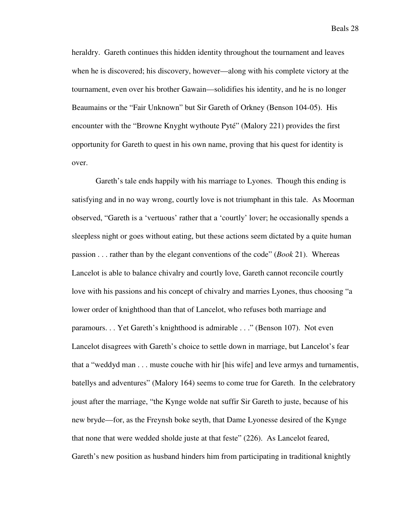heraldry. Gareth continues this hidden identity throughout the tournament and leaves when he is discovered; his discovery, however—along with his complete victory at the tournament, even over his brother Gawain—solidifies his identity, and he is no longer Beaumains or the "Fair Unknown" but Sir Gareth of Orkney (Benson 104-05). His encounter with the "Browne Knyght wythoute Pyté" (Malory 221) provides the first opportunity for Gareth to quest in his own name, proving that his quest for identity is over.

Gareth's tale ends happily with his marriage to Lyones. Though this ending is satisfying and in no way wrong, courtly love is not triumphant in this tale. As Moorman observed, "Gareth is a 'vertuous' rather that a 'courtly' lover; he occasionally spends a sleepless night or goes without eating, but these actions seem dictated by a quite human passion . . . rather than by the elegant conventions of the code" (*Book* 21). Whereas Lancelot is able to balance chivalry and courtly love, Gareth cannot reconcile courtly love with his passions and his concept of chivalry and marries Lyones, thus choosing "a lower order of knighthood than that of Lancelot, who refuses both marriage and paramours. . . Yet Gareth's knighthood is admirable . . ." (Benson 107). Not even Lancelot disagrees with Gareth's choice to settle down in marriage, but Lancelot's fear that a "weddyd man . . . muste couche with hir [his wife] and leve armys and turnamentis, batellys and adventures" (Malory 164) seems to come true for Gareth. In the celebratory joust after the marriage, "the Kynge wolde nat suffir Sir Gareth to juste, because of his new bryde—for, as the Freynsh boke seyth, that Dame Lyonesse desired of the Kynge that none that were wedded sholde juste at that feste" (226). As Lancelot feared, Gareth's new position as husband hinders him from participating in traditional knightly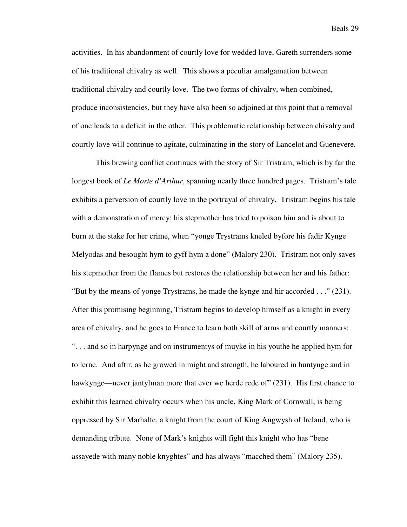activities. In his abandonment of courtly love for wedded love, Gareth surrenders some of his traditional chivalry as well. This shows a peculiar amalgamation between traditional chivalry and courtly love. The two forms of chivalry, when combined, produce inconsistencies, but they have also been so adjoined at this point that a removal of one leads to a deficit in the other. This problematic relationship between chivalry and courtly love will continue to agitate, culminating in the story of Lancelot and Guenevere.

 This brewing conflict continues with the story of Sir Tristram, which is by far the longest book of *Le Morte d'Arthur*, spanning nearly three hundred pages. Tristram's tale exhibits a perversion of courtly love in the portrayal of chivalry. Tristram begins his tale with a demonstration of mercy: his stepmother has tried to poison him and is about to burn at the stake for her crime, when "yonge Trystrams kneled byfore his fadir Kynge Melyodas and besought hym to gyff hym a done" (Malory 230). Tristram not only saves his stepmother from the flames but restores the relationship between her and his father: "But by the means of yonge Trystrams, he made the kynge and hir accorded . . ." (231). After this promising beginning, Tristram begins to develop himself as a knight in every area of chivalry, and he goes to France to learn both skill of arms and courtly manners: ". . . and so in harpynge and on instrumentys of muyke in his youthe he applied hym for to lerne. And aftir, as he growed in might and strength, he laboured in huntynge and in hawkynge—never jantylman more that ever we herde rede of" (231). His first chance to exhibit this learned chivalry occurs when his uncle, King Mark of Cornwall, is being oppressed by Sir Marhalte, a knight from the court of King Angwysh of Ireland, who is demanding tribute. None of Mark's knights will fight this knight who has "bene assayede with many noble knyghtes" and has always "macched them" (Malory 235).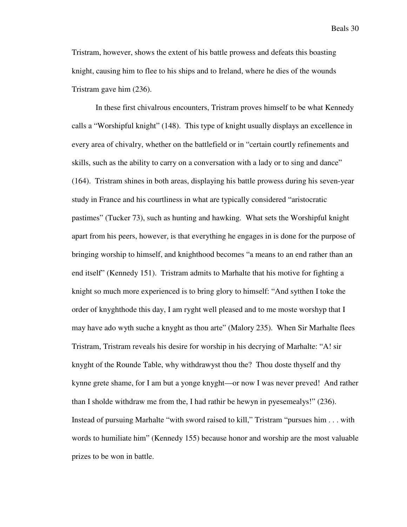Tristram, however, shows the extent of his battle prowess and defeats this boasting knight, causing him to flee to his ships and to Ireland, where he dies of the wounds Tristram gave him (236).

In these first chivalrous encounters, Tristram proves himself to be what Kennedy calls a "Worshipful knight" (148). This type of knight usually displays an excellence in every area of chivalry, whether on the battlefield or in "certain courtly refinements and skills, such as the ability to carry on a conversation with a lady or to sing and dance" (164). Tristram shines in both areas, displaying his battle prowess during his seven-year study in France and his courtliness in what are typically considered "aristocratic pastimes" (Tucker 73), such as hunting and hawking. What sets the Worshipful knight apart from his peers, however, is that everything he engages in is done for the purpose of bringing worship to himself, and knighthood becomes "a means to an end rather than an end itself" (Kennedy 151). Tristram admits to Marhalte that his motive for fighting a knight so much more experienced is to bring glory to himself: "And sytthen I toke the order of knyghthode this day, I am ryght well pleased and to me moste worshyp that I may have ado wyth suche a knyght as thou arte" (Malory 235). When Sir Marhalte flees Tristram, Tristram reveals his desire for worship in his decrying of Marhalte: "A! sir knyght of the Rounde Table, why withdrawyst thou the? Thou doste thyself and thy kynne grete shame, for I am but a yonge knyght—or now I was never preved! And rather than I sholde withdraw me from the, I had rathir be hewyn in pyesemealys!" (236). Instead of pursuing Marhalte "with sword raised to kill," Tristram "pursues him . . . with words to humiliate him" (Kennedy 155) because honor and worship are the most valuable prizes to be won in battle.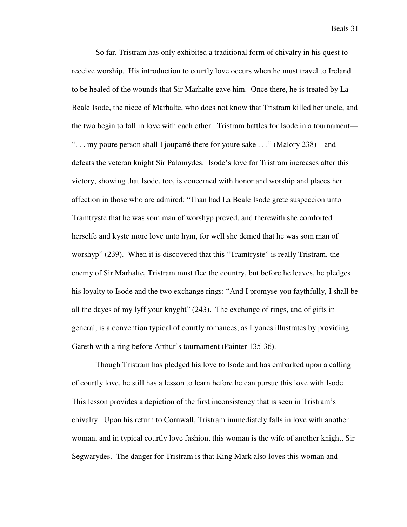So far, Tristram has only exhibited a traditional form of chivalry in his quest to receive worship. His introduction to courtly love occurs when he must travel to Ireland to be healed of the wounds that Sir Marhalte gave him. Once there, he is treated by La Beale Isode, the niece of Marhalte, who does not know that Tristram killed her uncle, and the two begin to fall in love with each other. Tristram battles for Isode in a tournament— ". . . my poure person shall I jouparté there for youre sake . . ." (Malory 238)—and defeats the veteran knight Sir Palomydes. Isode's love for Tristram increases after this victory, showing that Isode, too, is concerned with honor and worship and places her affection in those who are admired: "Than had La Beale Isode grete suspeccion unto Tramtryste that he was som man of worshyp preved, and therewith she comforted herselfe and kyste more love unto hym, for well she demed that he was som man of worshyp" (239). When it is discovered that this "Tramtryste" is really Tristram, the enemy of Sir Marhalte, Tristram must flee the country, but before he leaves, he pledges his loyalty to Isode and the two exchange rings: "And I promyse you faythfully, I shall be all the dayes of my lyff your knyght" (243). The exchange of rings, and of gifts in general, is a convention typical of courtly romances, as Lyones illustrates by providing Gareth with a ring before Arthur's tournament (Painter 135-36).

Though Tristram has pledged his love to Isode and has embarked upon a calling of courtly love, he still has a lesson to learn before he can pursue this love with Isode. This lesson provides a depiction of the first inconsistency that is seen in Tristram's chivalry. Upon his return to Cornwall, Tristram immediately falls in love with another woman, and in typical courtly love fashion, this woman is the wife of another knight, Sir Segwarydes. The danger for Tristram is that King Mark also loves this woman and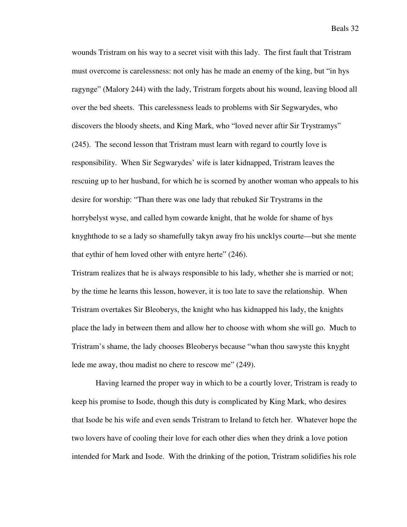wounds Tristram on his way to a secret visit with this lady. The first fault that Tristram must overcome is carelessness: not only has he made an enemy of the king, but "in hys ragynge" (Malory 244) with the lady, Tristram forgets about his wound, leaving blood all over the bed sheets. This carelessness leads to problems with Sir Segwarydes, who discovers the bloody sheets, and King Mark, who "loved never aftir Sir Trystramys" (245). The second lesson that Tristram must learn with regard to courtly love is responsibility. When Sir Segwarydes' wife is later kidnapped, Tristram leaves the rescuing up to her husband, for which he is scorned by another woman who appeals to his desire for worship: "Than there was one lady that rebuked Sir Trystrams in the horrybelyst wyse, and called hym cowarde knight, that he wolde for shame of hys knyghthode to se a lady so shamefully takyn away fro his uncklys courte—but she mente that eythir of hem loved other with entyre herte" (246).

Tristram realizes that he is always responsible to his lady, whether she is married or not; by the time he learns this lesson, however, it is too late to save the relationship. When Tristram overtakes Sir Bleoberys, the knight who has kidnapped his lady, the knights place the lady in between them and allow her to choose with whom she will go. Much to Tristram's shame, the lady chooses Bleoberys because "whan thou sawyste this knyght lede me away, thou madist no chere to rescow me" (249).

Having learned the proper way in which to be a courtly lover, Tristram is ready to keep his promise to Isode, though this duty is complicated by King Mark, who desires that Isode be his wife and even sends Tristram to Ireland to fetch her. Whatever hope the two lovers have of cooling their love for each other dies when they drink a love potion intended for Mark and Isode. With the drinking of the potion, Tristram solidifies his role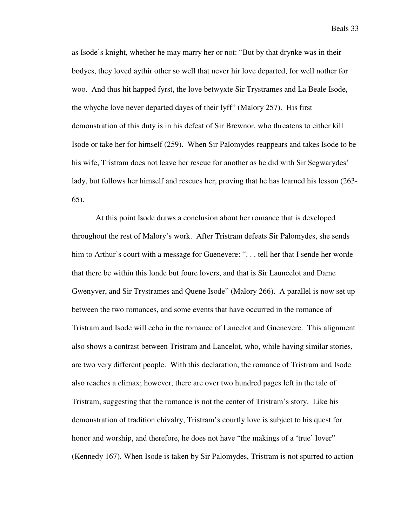as Isode's knight, whether he may marry her or not: "But by that drynke was in their bodyes, they loved aythir other so well that never hir love departed, for well nother for woo. And thus hit happed fyrst, the love betwyxte Sir Trystrames and La Beale Isode, the whyche love never departed dayes of their lyff" (Malory 257). His first demonstration of this duty is in his defeat of Sir Brewnor, who threatens to either kill Isode or take her for himself (259). When Sir Palomydes reappears and takes Isode to be his wife, Tristram does not leave her rescue for another as he did with Sir Segwarydes' lady, but follows her himself and rescues her, proving that he has learned his lesson (263- 65).

At this point Isode draws a conclusion about her romance that is developed throughout the rest of Malory's work. After Tristram defeats Sir Palomydes, she sends him to Arthur's court with a message for Guenevere: ". . . tell her that I sende her worde that there be within this londe but foure lovers, and that is Sir Launcelot and Dame Gwenyver, and Sir Trystrames and Quene Isode" (Malory 266). A parallel is now set up between the two romances, and some events that have occurred in the romance of Tristram and Isode will echo in the romance of Lancelot and Guenevere. This alignment also shows a contrast between Tristram and Lancelot, who, while having similar stories, are two very different people. With this declaration, the romance of Tristram and Isode also reaches a climax; however, there are over two hundred pages left in the tale of Tristram, suggesting that the romance is not the center of Tristram's story. Like his demonstration of tradition chivalry, Tristram's courtly love is subject to his quest for honor and worship, and therefore, he does not have "the makings of a 'true' lover" (Kennedy 167). When Isode is taken by Sir Palomydes, Tristram is not spurred to action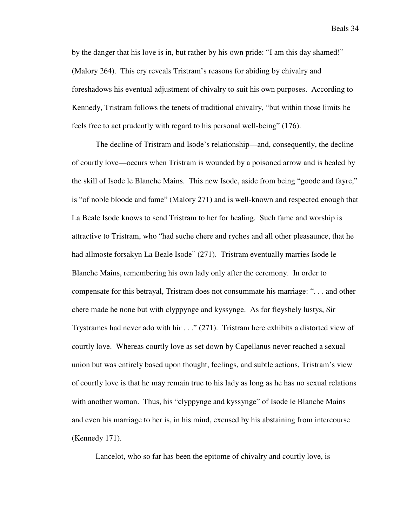by the danger that his love is in, but rather by his own pride: "I am this day shamed!" (Malory 264). This cry reveals Tristram's reasons for abiding by chivalry and foreshadows his eventual adjustment of chivalry to suit his own purposes. According to Kennedy, Tristram follows the tenets of traditional chivalry, "but within those limits he feels free to act prudently with regard to his personal well-being" (176).

The decline of Tristram and Isode's relationship—and, consequently, the decline of courtly love—occurs when Tristram is wounded by a poisoned arrow and is healed by the skill of Isode le Blanche Mains. This new Isode, aside from being "goode and fayre," is "of noble bloode and fame" (Malory 271) and is well-known and respected enough that La Beale Isode knows to send Tristram to her for healing. Such fame and worship is attractive to Tristram, who "had suche chere and ryches and all other pleasaunce, that he had allmoste forsakyn La Beale Isode" (271). Tristram eventually marries Isode le Blanche Mains, remembering his own lady only after the ceremony. In order to compensate for this betrayal, Tristram does not consummate his marriage: ". . . and other chere made he none but with clyppynge and kyssynge. As for fleyshely lustys, Sir Trystrames had never ado with hir  $\ldots$  (271). Tristram here exhibits a distorted view of courtly love. Whereas courtly love as set down by Capellanus never reached a sexual union but was entirely based upon thought, feelings, and subtle actions, Tristram's view of courtly love is that he may remain true to his lady as long as he has no sexual relations with another woman. Thus, his "clyppynge and kyssynge" of Isode le Blanche Mains and even his marriage to her is, in his mind, excused by his abstaining from intercourse (Kennedy 171).

Lancelot, who so far has been the epitome of chivalry and courtly love, is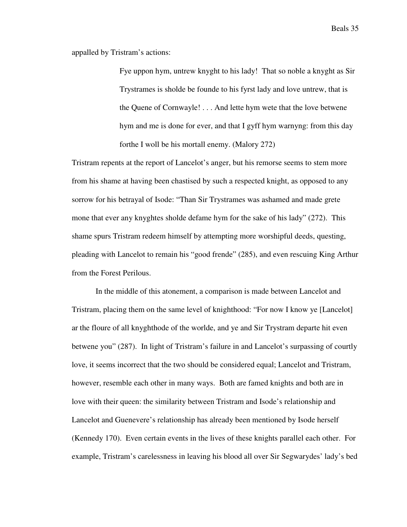appalled by Tristram's actions:

Fye uppon hym, untrew knyght to his lady! That so noble a knyght as Sir Trystrames is sholde be founde to his fyrst lady and love untrew, that is the Quene of Cornwayle! . . . And lette hym wete that the love betwene hym and me is done for ever, and that I gyff hym warnyng: from this day forthe I woll be his mortall enemy. (Malory 272)

Tristram repents at the report of Lancelot's anger, but his remorse seems to stem more from his shame at having been chastised by such a respected knight, as opposed to any sorrow for his betrayal of Isode: "Than Sir Trystrames was ashamed and made grete mone that ever any knyghtes sholde defame hym for the sake of his lady" (272). This shame spurs Tristram redeem himself by attempting more worshipful deeds, questing, pleading with Lancelot to remain his "good frende" (285), and even rescuing King Arthur from the Forest Perilous.

In the middle of this atonement, a comparison is made between Lancelot and Tristram, placing them on the same level of knighthood: "For now I know ye [Lancelot] ar the floure of all knyghthode of the worlde, and ye and Sir Trystram departe hit even betwene you" (287). In light of Tristram's failure in and Lancelot's surpassing of courtly love, it seems incorrect that the two should be considered equal; Lancelot and Tristram, however, resemble each other in many ways. Both are famed knights and both are in love with their queen: the similarity between Tristram and Isode's relationship and Lancelot and Guenevere's relationship has already been mentioned by Isode herself (Kennedy 170). Even certain events in the lives of these knights parallel each other. For example, Tristram's carelessness in leaving his blood all over Sir Segwarydes' lady's bed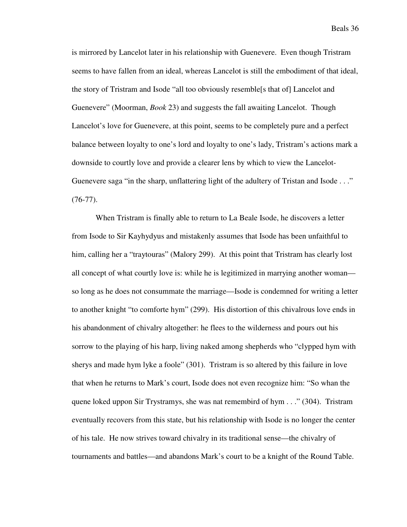is mirrored by Lancelot later in his relationship with Guenevere. Even though Tristram seems to have fallen from an ideal, whereas Lancelot is still the embodiment of that ideal, the story of Tristram and Isode "all too obviously resemble[s that of] Lancelot and Guenevere" (Moorman, *Book* 23) and suggests the fall awaiting Lancelot. Though Lancelot's love for Guenevere, at this point, seems to be completely pure and a perfect balance between loyalty to one's lord and loyalty to one's lady, Tristram's actions mark a downside to courtly love and provide a clearer lens by which to view the Lancelot-Guenevere saga "in the sharp, unflattering light of the adultery of Tristan and Isode . . ."  $(76-77)$ .

When Tristram is finally able to return to La Beale Isode, he discovers a letter from Isode to Sir Kayhydyus and mistakenly assumes that Isode has been unfaithful to him, calling her a "traytouras" (Malory 299). At this point that Tristram has clearly lost all concept of what courtly love is: while he is legitimized in marrying another woman so long as he does not consummate the marriage—Isode is condemned for writing a letter to another knight "to comforte hym" (299). His distortion of this chivalrous love ends in his abandonment of chivalry altogether: he flees to the wilderness and pours out his sorrow to the playing of his harp, living naked among shepherds who "clypped hym with sherys and made hym lyke a foole" (301). Tristram is so altered by this failure in love that when he returns to Mark's court, Isode does not even recognize him: "So whan the quene loked uppon Sir Trystramys, she was nat remembird of hym . . ." (304). Tristram eventually recovers from this state, but his relationship with Isode is no longer the center of his tale. He now strives toward chivalry in its traditional sense—the chivalry of tournaments and battles—and abandons Mark's court to be a knight of the Round Table.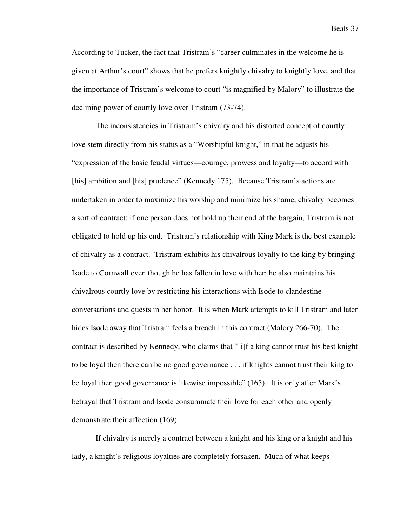According to Tucker, the fact that Tristram's "career culminates in the welcome he is given at Arthur's court" shows that he prefers knightly chivalry to knightly love, and that the importance of Tristram's welcome to court "is magnified by Malory" to illustrate the declining power of courtly love over Tristram (73-74).

The inconsistencies in Tristram's chivalry and his distorted concept of courtly love stem directly from his status as a "Worshipful knight," in that he adjusts his "expression of the basic feudal virtues—courage, prowess and loyalty—to accord with [his] ambition and [his] prudence" (Kennedy 175). Because Tristram's actions are undertaken in order to maximize his worship and minimize his shame, chivalry becomes a sort of contract: if one person does not hold up their end of the bargain, Tristram is not obligated to hold up his end. Tristram's relationship with King Mark is the best example of chivalry as a contract. Tristram exhibits his chivalrous loyalty to the king by bringing Isode to Cornwall even though he has fallen in love with her; he also maintains his chivalrous courtly love by restricting his interactions with Isode to clandestine conversations and quests in her honor. It is when Mark attempts to kill Tristram and later hides Isode away that Tristram feels a breach in this contract (Malory 266-70). The contract is described by Kennedy, who claims that "[i]f a king cannot trust his best knight to be loyal then there can be no good governance . . . if knights cannot trust their king to be loyal then good governance is likewise impossible" (165). It is only after Mark's betrayal that Tristram and Isode consummate their love for each other and openly demonstrate their affection (169).

If chivalry is merely a contract between a knight and his king or a knight and his lady, a knight's religious loyalties are completely forsaken. Much of what keeps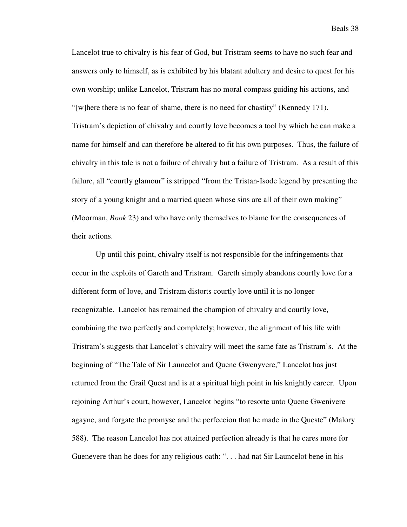Lancelot true to chivalry is his fear of God, but Tristram seems to have no such fear and answers only to himself, as is exhibited by his blatant adultery and desire to quest for his own worship; unlike Lancelot, Tristram has no moral compass guiding his actions, and "[w]here there is no fear of shame, there is no need for chastity" (Kennedy 171). Tristram's depiction of chivalry and courtly love becomes a tool by which he can make a name for himself and can therefore be altered to fit his own purposes. Thus, the failure of chivalry in this tale is not a failure of chivalry but a failure of Tristram. As a result of this failure, all "courtly glamour" is stripped "from the Tristan-Isode legend by presenting the story of a young knight and a married queen whose sins are all of their own making" (Moorman, *Book* 23) and who have only themselves to blame for the consequences of their actions.

Up until this point, chivalry itself is not responsible for the infringements that occur in the exploits of Gareth and Tristram. Gareth simply abandons courtly love for a different form of love, and Tristram distorts courtly love until it is no longer recognizable. Lancelot has remained the champion of chivalry and courtly love, combining the two perfectly and completely; however, the alignment of his life with Tristram's suggests that Lancelot's chivalry will meet the same fate as Tristram's. At the beginning of "The Tale of Sir Launcelot and Quene Gwenyvere," Lancelot has just returned from the Grail Quest and is at a spiritual high point in his knightly career. Upon rejoining Arthur's court, however, Lancelot begins "to resorte unto Quene Gwenivere agayne, and forgate the promyse and the perfeccion that he made in the Queste" (Malory 588). The reason Lancelot has not attained perfection already is that he cares more for Guenevere than he does for any religious oath: ". . . had nat Sir Launcelot bene in his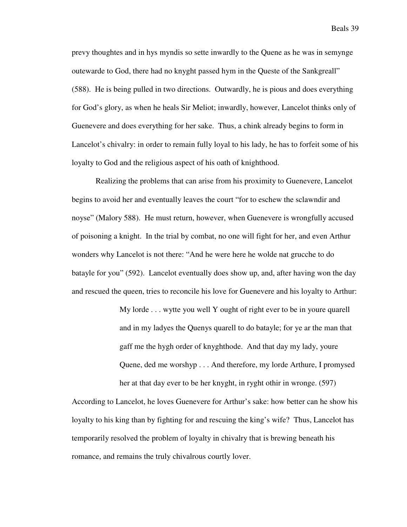prevy thoughtes and in hys myndis so sette inwardly to the Quene as he was in semynge outewarde to God, there had no knyght passed hym in the Queste of the Sankgreall" (588). He is being pulled in two directions. Outwardly, he is pious and does everything for God's glory, as when he heals Sir Meliot; inwardly, however, Lancelot thinks only of Guenevere and does everything for her sake. Thus, a chink already begins to form in Lancelot's chivalry: in order to remain fully loyal to his lady, he has to forfeit some of his loyalty to God and the religious aspect of his oath of knighthood.

Realizing the problems that can arise from his proximity to Guenevere, Lancelot begins to avoid her and eventually leaves the court "for to eschew the sclawndir and noyse" (Malory 588). He must return, however, when Guenevere is wrongfully accused of poisoning a knight. In the trial by combat, no one will fight for her, and even Arthur wonders why Lancelot is not there: "And he were here he wolde nat grucche to do batayle for you" (592). Lancelot eventually does show up, and, after having won the day and rescued the queen, tries to reconcile his love for Guenevere and his loyalty to Arthur:

> My lorde . . . wytte you well Y ought of right ever to be in youre quarell and in my ladyes the Quenys quarell to do batayle; for ye ar the man that gaff me the hygh order of knyghthode. And that day my lady, youre Quene, ded me worshyp . . . And therefore, my lorde Arthure, I promysed her at that day ever to be her knyght, in ryght othir in wronge. (597)

According to Lancelot, he loves Guenevere for Arthur's sake: how better can he show his loyalty to his king than by fighting for and rescuing the king's wife? Thus, Lancelot has temporarily resolved the problem of loyalty in chivalry that is brewing beneath his romance, and remains the truly chivalrous courtly lover.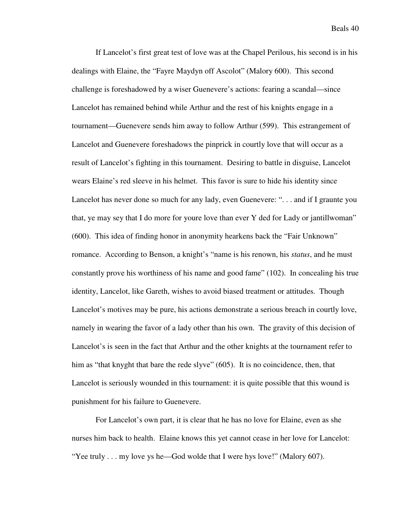If Lancelot's first great test of love was at the Chapel Perilous, his second is in his dealings with Elaine, the "Fayre Maydyn off Ascolot" (Malory 600). This second challenge is foreshadowed by a wiser Guenevere's actions: fearing a scandal—since Lancelot has remained behind while Arthur and the rest of his knights engage in a tournament—Guenevere sends him away to follow Arthur (599). This estrangement of Lancelot and Guenevere foreshadows the pinprick in courtly love that will occur as a result of Lancelot's fighting in this tournament. Desiring to battle in disguise, Lancelot wears Elaine's red sleeve in his helmet. This favor is sure to hide his identity since Lancelot has never done so much for any lady, even Guenevere: ". . . and if I graunte you that, ye may sey that I do more for youre love than ever Y ded for Lady or jantillwoman" (600). This idea of finding honor in anonymity hearkens back the "Fair Unknown" romance. According to Benson, a knight's "name is his renown, his *status*, and he must constantly prove his worthiness of his name and good fame" (102). In concealing his true identity, Lancelot, like Gareth, wishes to avoid biased treatment or attitudes. Though Lancelot's motives may be pure, his actions demonstrate a serious breach in courtly love, namely in wearing the favor of a lady other than his own. The gravity of this decision of Lancelot's is seen in the fact that Arthur and the other knights at the tournament refer to him as "that knyght that bare the rede slyve" (605). It is no coincidence, then, that Lancelot is seriously wounded in this tournament: it is quite possible that this wound is punishment for his failure to Guenevere.

For Lancelot's own part, it is clear that he has no love for Elaine, even as she nurses him back to health. Elaine knows this yet cannot cease in her love for Lancelot: "Yee truly . . . my love ys he—God wolde that I were hys love!" (Malory 607).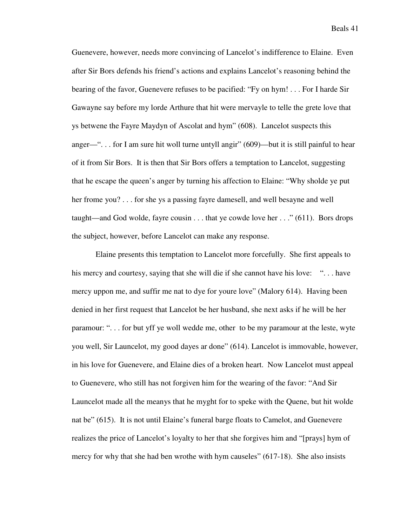Guenevere, however, needs more convincing of Lancelot's indifference to Elaine. Even after Sir Bors defends his friend's actions and explains Lancelot's reasoning behind the bearing of the favor, Guenevere refuses to be pacified: "Fy on hym! . . . For I harde Sir Gawayne say before my lorde Arthure that hit were mervayle to telle the grete love that ys betwene the Fayre Maydyn of Ascolat and hym" (608). Lancelot suspects this anger—". . . for I am sure hit woll turne untyll angir" (609)—but it is still painful to hear of it from Sir Bors. It is then that Sir Bors offers a temptation to Lancelot, suggesting that he escape the queen's anger by turning his affection to Elaine: "Why sholde ye put her frome you? . . . for she ys a passing fayre damesell, and well besayne and well taught—and God wolde, fayre cousin . . . that ye cowde love her . . ." (611). Bors drops the subject, however, before Lancelot can make any response.

Elaine presents this temptation to Lancelot more forcefully. She first appeals to his mercy and courtesy, saying that she will die if she cannot have his love: "... have mercy uppon me, and suffir me nat to dye for youre love" (Malory 614). Having been denied in her first request that Lancelot be her husband, she next asks if he will be her paramour: ". . . for but yff ye woll wedde me, other to be my paramour at the leste, wyte you well, Sir Launcelot, my good dayes ar done" (614). Lancelot is immovable, however, in his love for Guenevere, and Elaine dies of a broken heart. Now Lancelot must appeal to Guenevere, who still has not forgiven him for the wearing of the favor: "And Sir Launcelot made all the meanys that he myght for to speke with the Quene, but hit wolde nat be" (615). It is not until Elaine's funeral barge floats to Camelot, and Guenevere realizes the price of Lancelot's loyalty to her that she forgives him and "[prays] hym of mercy for why that she had ben wrothe with hym causeles" (617-18). She also insists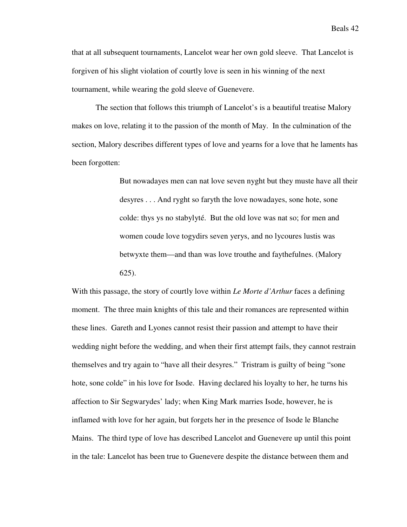that at all subsequent tournaments, Lancelot wear her own gold sleeve. That Lancelot is forgiven of his slight violation of courtly love is seen in his winning of the next tournament, while wearing the gold sleeve of Guenevere.

The section that follows this triumph of Lancelot's is a beautiful treatise Malory makes on love, relating it to the passion of the month of May. In the culmination of the section, Malory describes different types of love and yearns for a love that he laments has been forgotten:

> But nowadayes men can nat love seven nyght but they muste have all their desyres . . . And ryght so faryth the love nowadayes, sone hote, sone colde: thys ys no stabylyté. But the old love was nat so; for men and women coude love togydirs seven yerys, and no lycoures lustis was betwyxte them—and than was love trouthe and faythefulnes. (Malory 625).

With this passage, the story of courtly love within *Le Morte d'Arthur* faces a defining moment. The three main knights of this tale and their romances are represented within these lines. Gareth and Lyones cannot resist their passion and attempt to have their wedding night before the wedding, and when their first attempt fails, they cannot restrain themselves and try again to "have all their desyres." Tristram is guilty of being "sone hote, sone colde" in his love for Isode. Having declared his loyalty to her, he turns his affection to Sir Segwarydes' lady; when King Mark marries Isode, however, he is inflamed with love for her again, but forgets her in the presence of Isode le Blanche Mains. The third type of love has described Lancelot and Guenevere up until this point in the tale: Lancelot has been true to Guenevere despite the distance between them and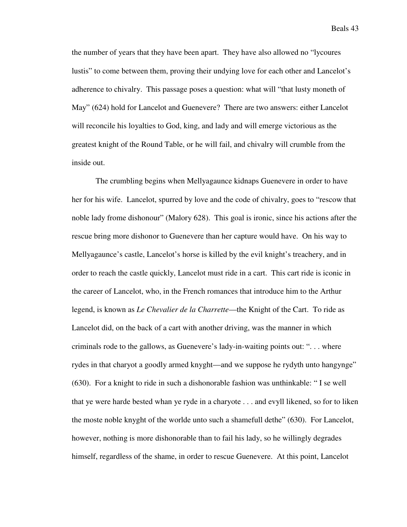the number of years that they have been apart. They have also allowed no "lycoures lustis" to come between them, proving their undying love for each other and Lancelot's adherence to chivalry. This passage poses a question: what will "that lusty moneth of May" (624) hold for Lancelot and Guenevere? There are two answers: either Lancelot will reconcile his loyalties to God, king, and lady and will emerge victorious as the greatest knight of the Round Table, or he will fail, and chivalry will crumble from the inside out.

 The crumbling begins when Mellyagaunce kidnaps Guenevere in order to have her for his wife. Lancelot, spurred by love and the code of chivalry, goes to "rescow that noble lady frome dishonour" (Malory 628). This goal is ironic, since his actions after the rescue bring more dishonor to Guenevere than her capture would have. On his way to Mellyagaunce's castle, Lancelot's horse is killed by the evil knight's treachery, and in order to reach the castle quickly, Lancelot must ride in a cart. This cart ride is iconic in the career of Lancelot, who, in the French romances that introduce him to the Arthur legend, is known as *Le Chevalier de la Charrette*—the Knight of the Cart. To ride as Lancelot did, on the back of a cart with another driving, was the manner in which criminals rode to the gallows, as Guenevere's lady-in-waiting points out: ". . . where rydes in that charyot a goodly armed knyght—and we suppose he rydyth unto hangynge" (630). For a knight to ride in such a dishonorable fashion was unthinkable: " I se well that ye were harde bested whan ye ryde in a charyote . . . and evyll likened, so for to liken the moste noble knyght of the worlde unto such a shamefull dethe" (630). For Lancelot, however, nothing is more dishonorable than to fail his lady, so he willingly degrades himself, regardless of the shame, in order to rescue Guenevere. At this point, Lancelot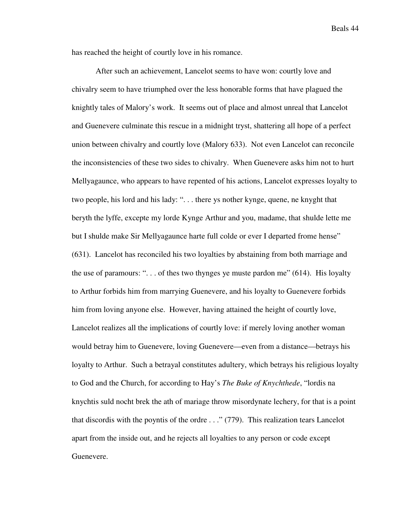has reached the height of courtly love in his romance.

 After such an achievement, Lancelot seems to have won: courtly love and chivalry seem to have triumphed over the less honorable forms that have plagued the knightly tales of Malory's work. It seems out of place and almost unreal that Lancelot and Guenevere culminate this rescue in a midnight tryst, shattering all hope of a perfect union between chivalry and courtly love (Malory 633). Not even Lancelot can reconcile the inconsistencies of these two sides to chivalry. When Guenevere asks him not to hurt Mellyagaunce, who appears to have repented of his actions, Lancelot expresses loyalty to two people, his lord and his lady: ". . . there ys nother kynge, quene, ne knyght that beryth the lyffe, excepte my lorde Kynge Arthur and you, madame, that shulde lette me but I shulde make Sir Mellyagaunce harte full colde or ever I departed frome hense" (631). Lancelot has reconciled his two loyalties by abstaining from both marriage and the use of paramours: ". . . of thes two thynges ye muste pardon me" (614). His loyalty to Arthur forbids him from marrying Guenevere, and his loyalty to Guenevere forbids him from loving anyone else. However, having attained the height of courtly love, Lancelot realizes all the implications of courtly love: if merely loving another woman would betray him to Guenevere, loving Guenevere—even from a distance—betrays his loyalty to Arthur. Such a betrayal constitutes adultery, which betrays his religious loyalty to God and the Church, for according to Hay's *The Buke of Knychthede*, "lordis na knychtis suld nocht brek the ath of mariage throw misordynate lechery, for that is a point that discordis with the poyntis of the ordre . . ." (779). This realization tears Lancelot apart from the inside out, and he rejects all loyalties to any person or code except Guenevere.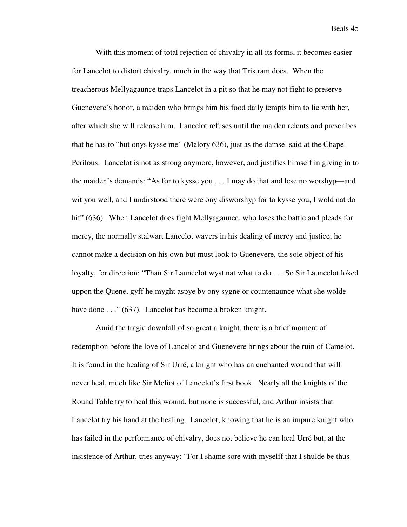With this moment of total rejection of chivalry in all its forms, it becomes easier for Lancelot to distort chivalry, much in the way that Tristram does. When the treacherous Mellyagaunce traps Lancelot in a pit so that he may not fight to preserve Guenevere's honor, a maiden who brings him his food daily tempts him to lie with her, after which she will release him. Lancelot refuses until the maiden relents and prescribes that he has to "but onys kysse me" (Malory 636), just as the damsel said at the Chapel Perilous. Lancelot is not as strong anymore, however, and justifies himself in giving in to the maiden's demands: "As for to kysse you . . . I may do that and lese no worshyp—and wit you well, and I undirstood there were ony disworshyp for to kysse you, I wold nat do hit" (636). When Lancelot does fight Mellyagaunce, who loses the battle and pleads for mercy, the normally stalwart Lancelot wavers in his dealing of mercy and justice; he cannot make a decision on his own but must look to Guenevere, the sole object of his loyalty, for direction: "Than Sir Launcelot wyst nat what to do . . . So Sir Launcelot loked uppon the Quene, gyff he myght aspye by ony sygne or countenaunce what she wolde have done . . ." (637). Lancelot has become a broken knight.

Amid the tragic downfall of so great a knight, there is a brief moment of redemption before the love of Lancelot and Guenevere brings about the ruin of Camelot. It is found in the healing of Sir Urré, a knight who has an enchanted wound that will never heal, much like Sir Meliot of Lancelot's first book. Nearly all the knights of the Round Table try to heal this wound, but none is successful, and Arthur insists that Lancelot try his hand at the healing. Lancelot, knowing that he is an impure knight who has failed in the performance of chivalry, does not believe he can heal Urré but, at the insistence of Arthur, tries anyway: "For I shame sore with myselff that I shulde be thus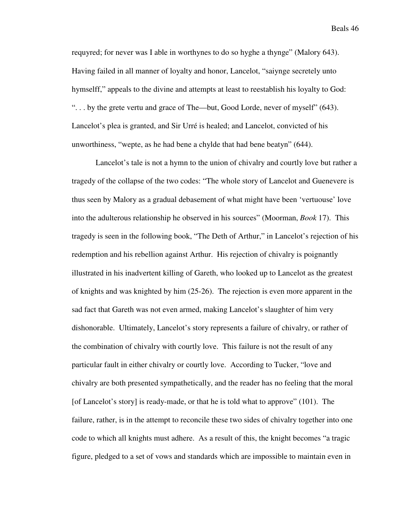requyred; for never was I able in worthynes to do so hyghe a thynge" (Malory 643). Having failed in all manner of loyalty and honor, Lancelot, "saiynge secretely unto hymselff," appeals to the divine and attempts at least to reestablish his loyalty to God: ". . . by the grete vertu and grace of The—but, Good Lorde, never of myself" (643). Lancelot's plea is granted, and Sir Urré is healed; and Lancelot, convicted of his unworthiness, "wepte, as he had bene a chylde that had bene beatyn" (644).

Lancelot's tale is not a hymn to the union of chivalry and courtly love but rather a tragedy of the collapse of the two codes: "The whole story of Lancelot and Guenevere is thus seen by Malory as a gradual debasement of what might have been 'vertuouse' love into the adulterous relationship he observed in his sources" (Moorman, *Book* 17). This tragedy is seen in the following book, "The Deth of Arthur," in Lancelot's rejection of his redemption and his rebellion against Arthur. His rejection of chivalry is poignantly illustrated in his inadvertent killing of Gareth, who looked up to Lancelot as the greatest of knights and was knighted by him (25-26). The rejection is even more apparent in the sad fact that Gareth was not even armed, making Lancelot's slaughter of him very dishonorable. Ultimately, Lancelot's story represents a failure of chivalry, or rather of the combination of chivalry with courtly love. This failure is not the result of any particular fault in either chivalry or courtly love. According to Tucker, "love and chivalry are both presented sympathetically, and the reader has no feeling that the moral [of Lancelot's story] is ready-made, or that he is told what to approve" (101). The failure, rather, is in the attempt to reconcile these two sides of chivalry together into one code to which all knights must adhere. As a result of this, the knight becomes "a tragic figure, pledged to a set of vows and standards which are impossible to maintain even in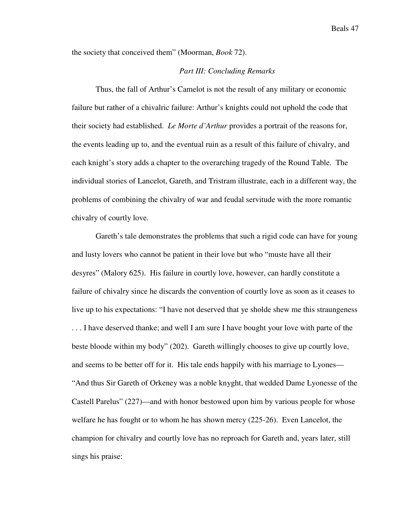the society that conceived them" (Moorman, *Book* 72).

## *Part III: Concluding Remarks*

Thus, the fall of Arthur's Camelot is not the result of any military or economic failure but rather of a chivalric failure: Arthur's knights could not uphold the code that their society had established. *Le Morte d'Arthur* provides a portrait of the reasons for, the events leading up to, and the eventual ruin as a result of this failure of chivalry, and each knight's story adds a chapter to the overarching tragedy of the Round Table. The individual stories of Lancelot, Gareth, and Tristram illustrate, each in a different way, the problems of combining the chivalry of war and feudal servitude with the more romantic chivalry of courtly love.

Gareth's tale demonstrates the problems that such a rigid code can have for young and lusty lovers who cannot be patient in their love but who "muste have all their desyres" (Malory 625). His failure in courtly love, however, can hardly constitute a failure of chivalry since he discards the convention of courtly love as soon as it ceases to live up to his expectations: "I have not deserved that ye sholde shew me this straungeness . . . I have deserved thanke; and well I am sure I have bought your love with parte of the beste bloode within my body" (202). Gareth willingly chooses to give up courtly love, and seems to be better off for it. His tale ends happily with his marriage to Lyones— "And thus Sir Gareth of Orkeney was a noble knyght, that wedded Dame Lyonesse of the Castell Parelus" (227)—and with honor bestowed upon him by various people for whose welfare he has fought or to whom he has shown mercy (225-26). Even Lancelot, the champion for chivalry and courtly love has no reproach for Gareth and, years later, still sings his praise: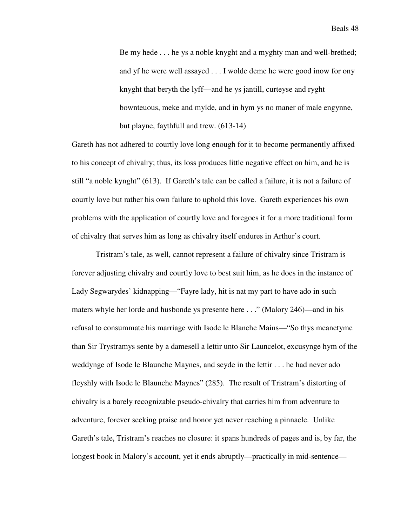Be my hede . . . he ys a noble knyght and a myghty man and well-brethed; and yf he were well assayed . . . I wolde deme he were good inow for ony knyght that beryth the lyff—and he ys jantill, curteyse and ryght bownteuous, meke and mylde, and in hym ys no maner of male engynne, but playne, faythfull and trew. (613-14)

Gareth has not adhered to courtly love long enough for it to become permanently affixed to his concept of chivalry; thus, its loss produces little negative effect on him, and he is still "a noble kynght" (613). If Gareth's tale can be called a failure, it is not a failure of courtly love but rather his own failure to uphold this love. Gareth experiences his own problems with the application of courtly love and foregoes it for a more traditional form of chivalry that serves him as long as chivalry itself endures in Arthur's court.

Tristram's tale, as well, cannot represent a failure of chivalry since Tristram is forever adjusting chivalry and courtly love to best suit him, as he does in the instance of Lady Segwarydes' kidnapping—"Fayre lady, hit is nat my part to have ado in such maters whyle her lorde and husbonde ys presente here . . ." (Malory 246)—and in his refusal to consummate his marriage with Isode le Blanche Mains—"So thys meanetyme than Sir Trystramys sente by a damesell a lettir unto Sir Launcelot, excusynge hym of the weddynge of Isode le Blaunche Maynes, and seyde in the lettir . . . he had never ado fleyshly with Isode le Blaunche Maynes" (285). The result of Tristram's distorting of chivalry is a barely recognizable pseudo-chivalry that carries him from adventure to adventure, forever seeking praise and honor yet never reaching a pinnacle. Unlike Gareth's tale, Tristram's reaches no closure: it spans hundreds of pages and is, by far, the longest book in Malory's account, yet it ends abruptly—practically in mid-sentence—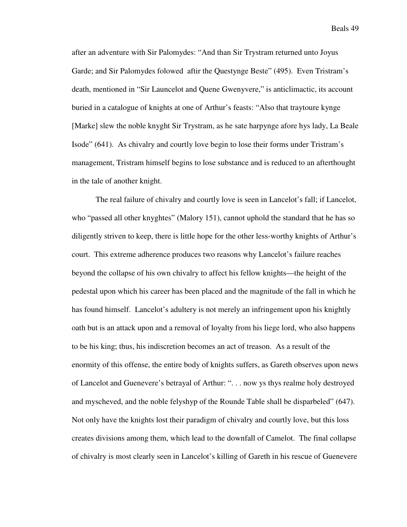after an adventure with Sir Palomydes: "And than Sir Trystram returned unto Joyus Garde; and Sir Palomydes folowed aftir the Questynge Beste" (495). Even Tristram's death, mentioned in "Sir Launcelot and Quene Gwenyvere," is anticlimactic, its account buried in a catalogue of knights at one of Arthur's feasts: "Also that traytoure kynge [Marke] slew the noble knyght Sir Trystram, as he sate harpynge afore hys lady, La Beale Isode" (641). As chivalry and courtly love begin to lose their forms under Tristram's management, Tristram himself begins to lose substance and is reduced to an afterthought in the tale of another knight.

The real failure of chivalry and courtly love is seen in Lancelot's fall; if Lancelot, who "passed all other knyghtes" (Malory 151), cannot uphold the standard that he has so diligently striven to keep, there is little hope for the other less-worthy knights of Arthur's court. This extreme adherence produces two reasons why Lancelot's failure reaches beyond the collapse of his own chivalry to affect his fellow knights—the height of the pedestal upon which his career has been placed and the magnitude of the fall in which he has found himself. Lancelot's adultery is not merely an infringement upon his knightly oath but is an attack upon and a removal of loyalty from his liege lord, who also happens to be his king; thus, his indiscretion becomes an act of treason. As a result of the enormity of this offense, the entire body of knights suffers, as Gareth observes upon news of Lancelot and Guenevere's betrayal of Arthur: ". . . now ys thys realme holy destroyed and myscheved, and the noble felyshyp of the Rounde Table shall be disparbeled" (647). Not only have the knights lost their paradigm of chivalry and courtly love, but this loss creates divisions among them, which lead to the downfall of Camelot. The final collapse of chivalry is most clearly seen in Lancelot's killing of Gareth in his rescue of Guenevere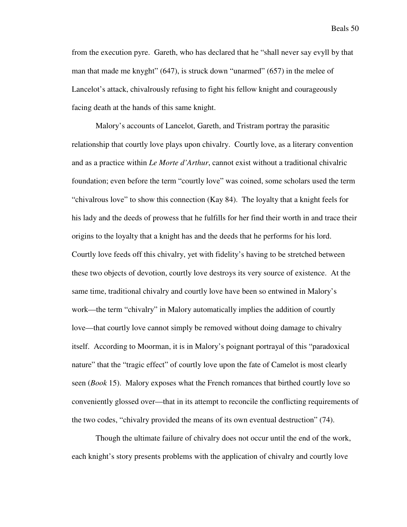from the execution pyre. Gareth, who has declared that he "shall never say evyll by that man that made me knyght" (647), is struck down "unarmed" (657) in the melee of Lancelot's attack, chivalrously refusing to fight his fellow knight and courageously facing death at the hands of this same knight.

Malory's accounts of Lancelot, Gareth, and Tristram portray the parasitic relationship that courtly love plays upon chivalry. Courtly love, as a literary convention and as a practice within *Le Morte d'Arthur*, cannot exist without a traditional chivalric foundation; even before the term "courtly love" was coined, some scholars used the term "chivalrous love" to show this connection (Kay 84). The loyalty that a knight feels for his lady and the deeds of prowess that he fulfills for her find their worth in and trace their origins to the loyalty that a knight has and the deeds that he performs for his lord. Courtly love feeds off this chivalry, yet with fidelity's having to be stretched between these two objects of devotion, courtly love destroys its very source of existence. At the same time, traditional chivalry and courtly love have been so entwined in Malory's work—the term "chivalry" in Malory automatically implies the addition of courtly love—that courtly love cannot simply be removed without doing damage to chivalry itself. According to Moorman, it is in Malory's poignant portrayal of this "paradoxical nature" that the "tragic effect" of courtly love upon the fate of Camelot is most clearly seen (*Book* 15). Malory exposes what the French romances that birthed courtly love so conveniently glossed over—that in its attempt to reconcile the conflicting requirements of the two codes, "chivalry provided the means of its own eventual destruction" (74).

Though the ultimate failure of chivalry does not occur until the end of the work, each knight's story presents problems with the application of chivalry and courtly love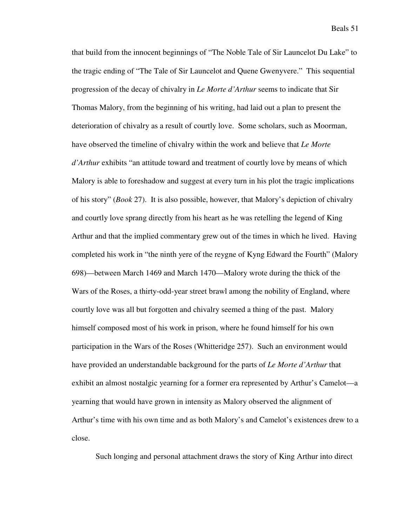that build from the innocent beginnings of "The Noble Tale of Sir Launcelot Du Lake" to the tragic ending of "The Tale of Sir Launcelot and Quene Gwenyvere." This sequential progression of the decay of chivalry in *Le Morte d'Arthur* seems to indicate that Sir Thomas Malory, from the beginning of his writing, had laid out a plan to present the deterioration of chivalry as a result of courtly love. Some scholars, such as Moorman, have observed the timeline of chivalry within the work and believe that *Le Morte d'Arthur* exhibits "an attitude toward and treatment of courtly love by means of which Malory is able to foreshadow and suggest at every turn in his plot the tragic implications of his story" (*Book* 27). It is also possible, however, that Malory's depiction of chivalry and courtly love sprang directly from his heart as he was retelling the legend of King Arthur and that the implied commentary grew out of the times in which he lived. Having completed his work in "the ninth yere of the reygne of Kyng Edward the Fourth" (Malory 698)—between March 1469 and March 1470—Malory wrote during the thick of the Wars of the Roses, a thirty-odd-year street brawl among the nobility of England, where courtly love was all but forgotten and chivalry seemed a thing of the past. Malory himself composed most of his work in prison, where he found himself for his own participation in the Wars of the Roses (Whitteridge 257). Such an environment would have provided an understandable background for the parts of *Le Morte d'Arthur* that exhibit an almost nostalgic yearning for a former era represented by Arthur's Camelot—a yearning that would have grown in intensity as Malory observed the alignment of Arthur's time with his own time and as both Malory's and Camelot's existences drew to a close.

Such longing and personal attachment draws the story of King Arthur into direct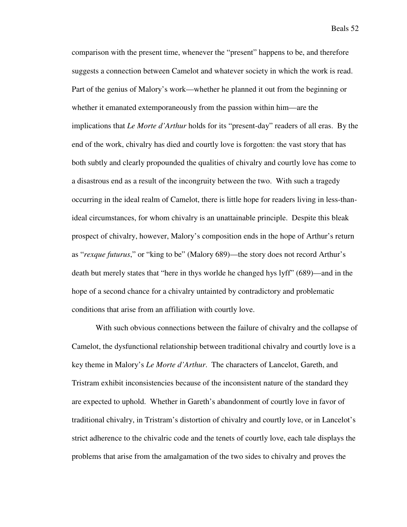comparison with the present time, whenever the "present" happens to be, and therefore suggests a connection between Camelot and whatever society in which the work is read. Part of the genius of Malory's work—whether he planned it out from the beginning or whether it emanated extemporaneously from the passion within him—are the implications that *Le Morte d'Arthur* holds for its "present-day" readers of all eras. By the end of the work, chivalry has died and courtly love is forgotten: the vast story that has both subtly and clearly propounded the qualities of chivalry and courtly love has come to a disastrous end as a result of the incongruity between the two. With such a tragedy occurring in the ideal realm of Camelot, there is little hope for readers living in less-thanideal circumstances, for whom chivalry is an unattainable principle. Despite this bleak prospect of chivalry, however, Malory's composition ends in the hope of Arthur's return as "*rexque futurus*," or "king to be" (Malory 689)—the story does not record Arthur's death but merely states that "here in thys worlde he changed hys lyff" (689)—and in the hope of a second chance for a chivalry untainted by contradictory and problematic conditions that arise from an affiliation with courtly love.

With such obvious connections between the failure of chivalry and the collapse of Camelot, the dysfunctional relationship between traditional chivalry and courtly love is a key theme in Malory's *Le Morte d'Arthur*. The characters of Lancelot, Gareth, and Tristram exhibit inconsistencies because of the inconsistent nature of the standard they are expected to uphold. Whether in Gareth's abandonment of courtly love in favor of traditional chivalry, in Tristram's distortion of chivalry and courtly love, or in Lancelot's strict adherence to the chivalric code and the tenets of courtly love, each tale displays the problems that arise from the amalgamation of the two sides to chivalry and proves the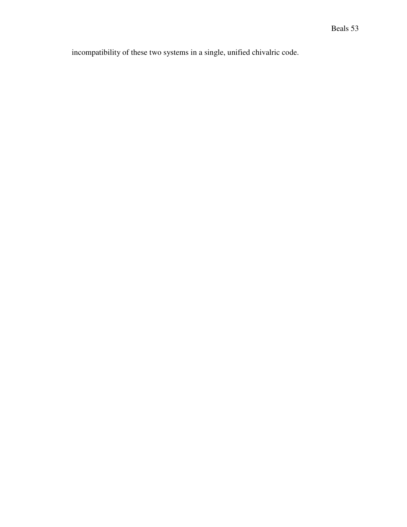incompatibility of these two systems in a single, unified chivalric code.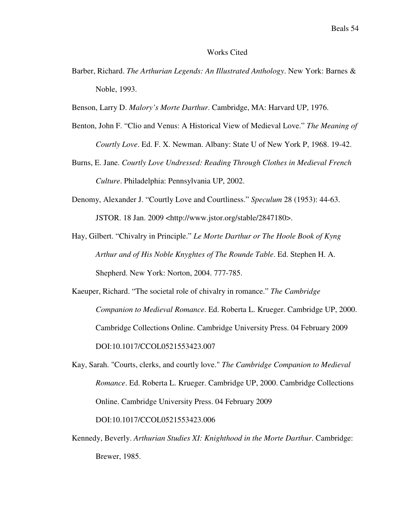#### Works Cited

- Barber, Richard. *The Arthurian Legends: An Illustrated Anthology*. New York: Barnes & Noble, 1993.
- Benson, Larry D. *Malory's Morte Darthur*. Cambridge, MA: Harvard UP, 1976.
- Benton, John F. "Clio and Venus: A Historical View of Medieval Love." *The Meaning of Courtly Love*. Ed. F. X. Newman. Albany: State U of New York P, 1968. 19-42.
- Burns, E. Jane. *Courtly Love Undressed: Reading Through Clothes in Medieval French Culture*. Philadelphia: Pennsylvania UP, 2002.
- Denomy, Alexander J. "Courtly Love and Courtliness." *Speculum* 28 (1953): 44-63. JSTOR. 18 Jan. 2009 <http://www.jstor.org/stable/2847180>.
- Hay, Gilbert. "Chivalry in Principle." *Le Morte Darthur or The Hoole Book of Kyng Arthur and of His Noble Knyghtes of The Rounde Table*. Ed. Stephen H. A. Shepherd. New York: Norton, 2004. 777-785.
- Kaeuper, Richard. "The societal role of chivalry in romance." *The Cambridge Companion to Medieval Romance*. Ed. Roberta L. Krueger. Cambridge UP, 2000. Cambridge Collections Online. Cambridge University Press. 04 February 2009 DOI:10.1017/CCOL0521553423.007
- Kay, Sarah. "Courts, clerks, and courtly love." *The Cambridge Companion to Medieval Romance*. Ed. Roberta L. Krueger. Cambridge UP, 2000. Cambridge Collections Online. Cambridge University Press. 04 February 2009 DOI:10.1017/CCOL0521553423.006
- Kennedy, Beverly. *Arthurian Studies XI: Knighthood in the Morte Darthur*. Cambridge: Brewer, 1985.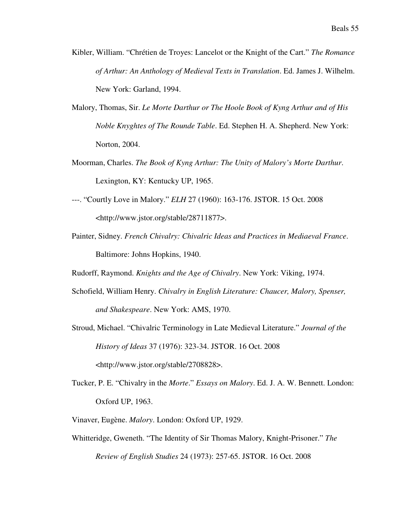- Kibler, William. "Chrétien de Troyes: Lancelot or the Knight of the Cart." *The Romance of Arthur: An Anthology of Medieval Texts in Translation*. Ed. James J. Wilhelm. New York: Garland, 1994.
- Malory, Thomas, Sir. *Le Morte Darthur or The Hoole Book of Kyng Arthur and of His Noble Knyghtes of The Rounde Table*. Ed. Stephen H. A. Shepherd. New York: Norton, 2004.
- Moorman, Charles. *The Book of Kyng Arthur: The Unity of Malory's Morte Darthur*. Lexington, KY: Kentucky UP, 1965.
- ---. "Courtly Love in Malory." *ELH* 27 (1960): 163-176. JSTOR. 15 Oct. 2008 <http://www.jstor.org/stable/28711877>.
- Painter, Sidney. *French Chivalry: Chivalric Ideas and Practices in Mediaeval France*. Baltimore: Johns Hopkins, 1940.
- Rudorff, Raymond. *Knights and the Age of Chivalry*. New York: Viking, 1974.
- Schofield, William Henry. *Chivalry in English Literature: Chaucer, Malory, Spenser, and Shakespeare*. New York: AMS, 1970.
- Stroud, Michael. "Chivalric Terminology in Late Medieval Literature." *Journal of the History of Ideas* 37 (1976): 323-34. JSTOR. 16 Oct. 2008 <http://www.jstor.org/stable/2708828>.
- Tucker, P. E. "Chivalry in the *Morte*." *Essays on Malory*. Ed. J. A. W. Bennett. London: Oxford UP, 1963.
- Vinaver, Eugène. *Malory*. London: Oxford UP, 1929.
- Whitteridge, Gweneth. "The Identity of Sir Thomas Malory, Knight-Prisoner." *The Review of English Studies* 24 (1973): 257-65. JSTOR. 16 Oct. 2008